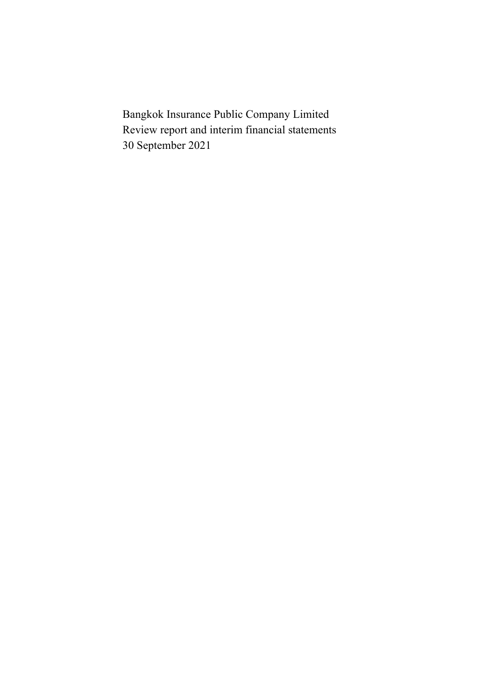Bangkok Insurance Public Company Limited Review report and interim financial statements 30 September 2021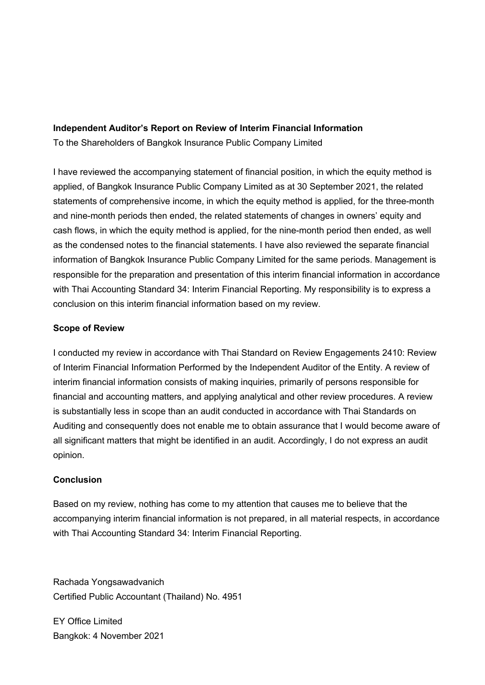# **Independent Auditor's Report on Review of Interim Financial Information**

To the Shareholders of Bangkok Insurance Public Company Limited

I have reviewed the accompanying statement of financial position, in which the equity method is applied, of Bangkok Insurance Public Company Limited as at 30 September 2021, the related statements of comprehensive income, in which the equity method is applied, for the three-month and nine-month periods then ended, the related statements of changes in owners' equity and cash flows, in which the equity method is applied, for the nine-month period then ended, as well as the condensed notes to the financial statements. I have also reviewed the separate financial information of Bangkok Insurance Public Company Limited for the same periods. Management is responsible for the preparation and presentation of this interim financial information in accordance with Thai Accounting Standard 34: Interim Financial Reporting. My responsibility is to express a conclusion on this interim financial information based on my review.

# **Scope of Review**

I conducted my review in accordance with Thai Standard on Review Engagements 2410: Review of Interim Financial Information Performed by the Independent Auditor of the Entity. A review of interim financial information consists of making inquiries, primarily of persons responsible for financial and accounting matters, and applying analytical and other review procedures. A review is substantially less in scope than an audit conducted in accordance with Thai Standards on Auditing and consequently does not enable me to obtain assurance that I would become aware of all significant matters that might be identified in an audit. Accordingly, I do not express an audit opinion.

# **Conclusion**

Based on my review, nothing has come to my attention that causes me to believe that the accompanying interim financial information is not prepared, in all material respects, in accordance with Thai Accounting Standard 34: Interim Financial Reporting.

Rachada Yongsawadvanich Certified Public Accountant (Thailand) No. 4951

EY Office Limited Bangkok: 4 November 2021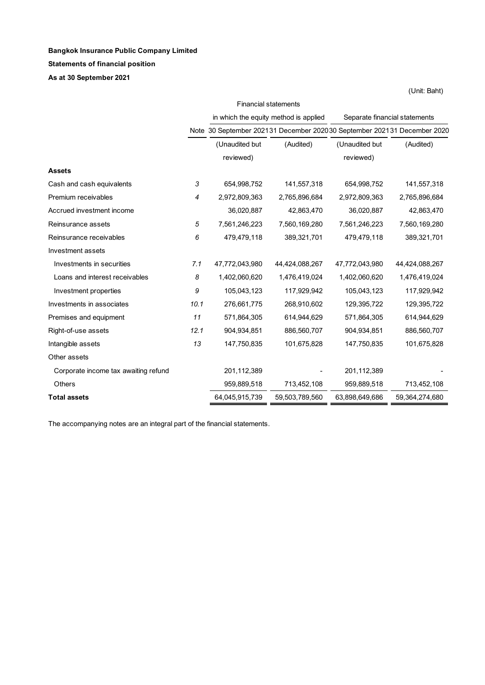#### **Bangkok Insurance Public Company Limited**

#### **Statements of financial position**

**As at 30 September 2021**

|                                      |      |                | <b>Financial statements</b>                                             |                               |                |
|--------------------------------------|------|----------------|-------------------------------------------------------------------------|-------------------------------|----------------|
|                                      |      |                | in which the equity method is applied                                   | Separate financial statements |                |
|                                      |      |                | Note 30 September 202131 December 202030 September 202131 December 2020 |                               |                |
|                                      |      | (Unaudited but | (Audited)                                                               | (Unaudited but                | (Audited)      |
|                                      |      | reviewed)      |                                                                         | reviewed)                     |                |
| <b>Assets</b>                        |      |                |                                                                         |                               |                |
| Cash and cash equivalents            | 3    | 654,998,752    | 141,557,318                                                             | 654,998,752                   | 141,557,318    |
| Premium receivables                  | 4    | 2,972,809,363  | 2,765,896,684                                                           | 2,972,809,363                 | 2,765,896,684  |
| Accrued investment income            |      | 36,020,887     | 42,863,470                                                              | 36,020,887                    | 42,863,470     |
| Reinsurance assets                   | 5    | 7,561,246,223  | 7,560,169,280                                                           | 7,561,246,223                 | 7,560,169,280  |
| Reinsurance receivables              | 6    | 479,479,118    | 389,321,701                                                             | 479,479,118                   | 389,321,701    |
| Investment assets                    |      |                |                                                                         |                               |                |
| Investments in securities            | 7.1  | 47,772,043,980 | 44,424,088,267                                                          | 47,772,043,980                | 44,424,088,267 |
| Loans and interest receivables       | 8    | 1,402,060,620  | 1,476,419,024                                                           | 1,402,060,620                 | 1,476,419,024  |
| Investment properties                | 9    | 105,043,123    | 117,929,942                                                             | 105,043,123                   | 117,929,942    |
| Investments in associates            | 10.1 | 276,661,775    | 268,910,602                                                             | 129,395,722                   | 129,395,722    |
| Premises and equipment               | 11   | 571,864,305    | 614,944,629                                                             | 571,864,305                   | 614,944,629    |
| Right-of-use assets                  | 12.1 | 904,934,851    | 886,560,707                                                             | 904,934,851                   | 886,560,707    |
| Intangible assets                    | 13   | 147,750,835    | 101,675,828                                                             | 147,750,835                   | 101,675,828    |
| Other assets                         |      |                |                                                                         |                               |                |
| Corporate income tax awaiting refund |      | 201,112,389    |                                                                         | 201,112,389                   |                |
| <b>Others</b>                        |      | 959,889,518    | 713,452,108                                                             | 959,889,518                   | 713,452,108    |
| <b>Total assets</b>                  |      | 64,045,915,739 | 59,503,789,560                                                          | 63,898,649,686                | 59,364,274,680 |

The accompanying notes are an integral part of the financial statements.

(Unit: Baht)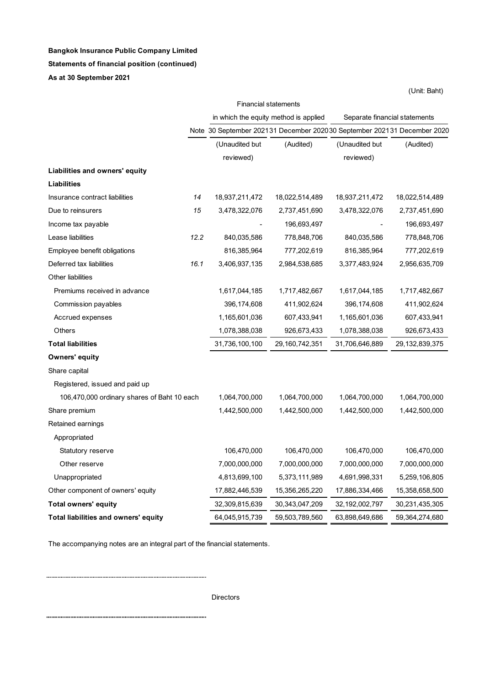# **Bangkok Insurance Public Company Limited**

#### **Statements of financial position (continued)**

**As at 30 September 2021**

|                                             | <b>Financial statements</b> |                |                                                                         |                |                               |  |
|---------------------------------------------|-----------------------------|----------------|-------------------------------------------------------------------------|----------------|-------------------------------|--|
|                                             |                             |                | in which the equity method is applied                                   |                | Separate financial statements |  |
|                                             |                             |                | Note 30 September 202131 December 202030 September 202131 December 2020 |                |                               |  |
|                                             |                             | (Unaudited but | (Audited)                                                               | (Unaudited but | (Audited)                     |  |
|                                             |                             | reviewed)      |                                                                         | reviewed)      |                               |  |
| Liabilities and owners' equity              |                             |                |                                                                         |                |                               |  |
| <b>Liabilities</b>                          |                             |                |                                                                         |                |                               |  |
| Insurance contract liabilities              | 14                          | 18,937,211,472 | 18,022,514,489                                                          | 18,937,211,472 | 18,022,514,489                |  |
| Due to reinsurers                           | 15                          | 3,478,322,076  | 2,737,451,690                                                           | 3,478,322,076  | 2,737,451,690                 |  |
| Income tax payable                          |                             |                | 196,693,497                                                             |                | 196,693,497                   |  |
| Lease liabilities                           | 12.2                        | 840,035,586    | 778,848,706                                                             | 840,035,586    | 778,848,706                   |  |
| Employee benefit obligations                |                             | 816,385,964    | 777,202,619                                                             | 816,385,964    | 777,202,619                   |  |
| Deferred tax liabilities                    | 16.1                        | 3,406,937,135  | 2,984,538,685                                                           | 3,377,483,924  | 2,956,635,709                 |  |
| Other liabilities                           |                             |                |                                                                         |                |                               |  |
| Premiums received in advance                |                             | 1,617,044,185  | 1,717,482,667                                                           | 1,617,044,185  | 1,717,482,667                 |  |
| Commission payables                         |                             | 396,174,608    | 411,902,624                                                             | 396,174,608    | 411,902,624                   |  |
| Accrued expenses                            |                             | 1,165,601,036  | 607,433,941                                                             | 1,165,601,036  | 607,433,941                   |  |
| Others                                      |                             | 1,078,388,038  | 926,673,433                                                             | 1,078,388,038  | 926,673,433                   |  |
| <b>Total liabilities</b>                    |                             | 31,736,100,100 | 29,160,742,351                                                          | 31,706,646,889 | 29,132,839,375                |  |
| <b>Owners' equity</b>                       |                             |                |                                                                         |                |                               |  |
| Share capital                               |                             |                |                                                                         |                |                               |  |
| Registered, issued and paid up              |                             |                |                                                                         |                |                               |  |
| 106,470,000 ordinary shares of Baht 10 each |                             | 1,064,700,000  | 1,064,700,000                                                           | 1,064,700,000  | 1,064,700,000                 |  |
| Share premium                               |                             | 1,442,500,000  | 1,442,500,000                                                           | 1,442,500,000  | 1,442,500,000                 |  |
| Retained earnings                           |                             |                |                                                                         |                |                               |  |
| Appropriated                                |                             |                |                                                                         |                |                               |  |
| Statutory reserve                           |                             | 106,470,000    | 106,470,000                                                             | 106,470,000    | 106,470,000                   |  |
| Other reserve                               |                             | 7,000,000,000  | 7,000,000,000                                                           | 7,000,000,000  | 7,000,000,000                 |  |
| Unappropriated                              |                             | 4,813,699,100  | 5,373,111,989                                                           | 4,691,998,331  | 5,259,106,805                 |  |
| Other component of owners' equity           |                             | 17,882,446,539 | 15,356,265,220                                                          | 17,886,334,466 | 15,358,658,500                |  |
| <b>Total owners' equity</b>                 |                             | 32,309,815,639 | 30,343,047,209                                                          | 32,192,002,797 | 30,231,435,305                |  |
| Total liabilities and owners' equity        |                             | 64,045,915,739 | 59,503,789,560                                                          | 63,898,649,686 | 59,364,274,680                |  |

The accompanying notes are an integral part of the financial statements.

Directors

(Unit: Baht)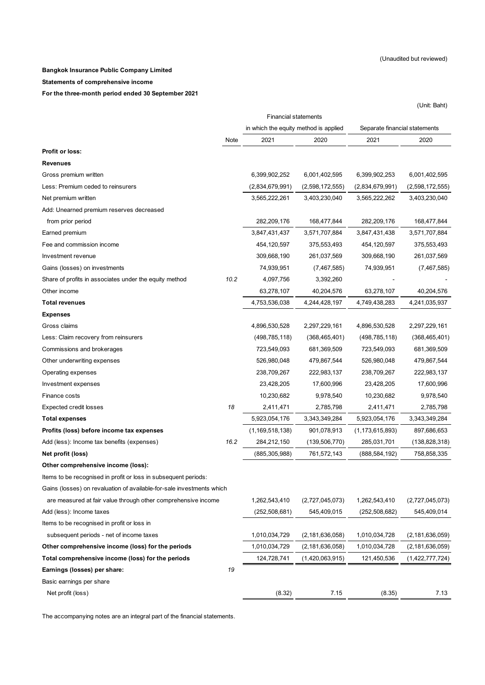(Unit: Baht)

#### **Bangkok Insurance Public Company Limited**

**Statements of comprehensive income**

**For the three-month period ended 30 September 2021**

|                                                                       | <b>Financial statements</b> |                                       |                    |                               |                    |  |  |
|-----------------------------------------------------------------------|-----------------------------|---------------------------------------|--------------------|-------------------------------|--------------------|--|--|
|                                                                       |                             | in which the equity method is applied |                    | Separate financial statements |                    |  |  |
|                                                                       | Note                        | 2021                                  | 2020               | 2021                          | 2020               |  |  |
| Profit or loss:                                                       |                             |                                       |                    |                               |                    |  |  |
| Revenues                                                              |                             |                                       |                    |                               |                    |  |  |
| Gross premium written                                                 |                             | 6,399,902,252                         | 6,001,402,595      | 6,399,902,253                 | 6,001,402,595      |  |  |
| Less: Premium ceded to reinsurers                                     |                             | (2,834,679,991)                       | (2,598,172,555)    | (2,834,679,991)               | (2,598,172,555)    |  |  |
| Net premium written                                                   |                             | 3,565,222,261                         | 3,403,230,040      | 3,565,222,262                 | 3,403,230,040      |  |  |
| Add: Unearned premium reserves decreased                              |                             |                                       |                    |                               |                    |  |  |
| from prior period                                                     |                             | 282,209,176                           | 168,477,844        | 282,209,176                   | 168,477,844        |  |  |
| Earned premium                                                        |                             | 3,847,431,437                         | 3,571,707,884      | 3,847,431,438                 | 3,571,707,884      |  |  |
| Fee and commission income                                             |                             | 454,120,597                           | 375,553,493        | 454,120,597                   | 375,553,493        |  |  |
| Investment revenue                                                    |                             | 309,668,190                           | 261,037,569        | 309,668,190                   | 261,037,569        |  |  |
| Gains (losses) on investments                                         |                             | 74,939,951                            | (7, 467, 585)      | 74,939,951                    | (7, 467, 585)      |  |  |
| Share of profits in associates under the equity method                | 10.2                        | 4,097,756                             | 3,392,260          |                               |                    |  |  |
| Other income                                                          |                             | 63,278,107                            | 40,204,576         | 63,278,107                    | 40,204,576         |  |  |
| <b>Total revenues</b>                                                 |                             | 4,753,536,038                         | 4,244,428,197      | 4,749,438,283                 | 4,241,035,937      |  |  |
| <b>Expenses</b>                                                       |                             |                                       |                    |                               |                    |  |  |
| Gross claims                                                          |                             | 4,896,530,528                         | 2,297,229,161      | 4,896,530,528                 | 2,297,229,161      |  |  |
| Less: Claim recovery from reinsurers                                  |                             | (498, 785, 118)                       | (368,465,401)      | (498, 785, 118)               | (368, 465, 401)    |  |  |
| Commissions and brokerages                                            |                             | 723,549,093                           | 681,369,509        | 723,549,093                   | 681,369,509        |  |  |
| Other underwriting expenses                                           |                             | 526,980,048                           | 479,867,544        | 526,980,048                   | 479,867,544        |  |  |
| Operating expenses                                                    |                             | 238,709,267                           | 222,983,137        | 238,709,267                   | 222,983,137        |  |  |
| Investment expenses                                                   |                             | 23,428,205                            | 17,600,996         | 23,428,205                    | 17,600,996         |  |  |
| Finance costs                                                         |                             | 10,230,682                            | 9,978,540          | 10,230,682                    | 9,978,540          |  |  |
| <b>Expected credit losses</b>                                         | 18                          | 2,411,471                             | 2,785,798          | 2,411,471                     | 2,785,798          |  |  |
| <b>Total expenses</b>                                                 |                             | 5,923,054,176                         | 3,343,349,284      | 5,923,054,176                 | 3,343,349,284      |  |  |
| Profits (loss) before income tax expenses                             |                             | (1, 169, 518, 138)                    | 901,078,913        | (1, 173, 615, 893)            | 897,686,653        |  |  |
| Add (less): Income tax benefits (expenses)                            | 16.2                        | 284,212,150                           | (139, 506, 770)    | 285,031,701                   | (138, 828, 318)    |  |  |
| Net profit (loss)                                                     |                             | (885, 305, 988)                       | 761,572,143        | (888, 584, 192)               | 758,858,335        |  |  |
| Other comprehensive income (loss):                                    |                             |                                       |                    |                               |                    |  |  |
| Items to be recognised in profit or loss in subsequent periods:       |                             |                                       |                    |                               |                    |  |  |
| Gains (losses) on revaluation of available-for-sale investments which |                             |                                       |                    |                               |                    |  |  |
| are measured at fair value through other comprehensive income         |                             | 1,262,543,410                         | (2,727,045,073)    | 1,262,543,410                 | (2,727,045,073)    |  |  |
| Add (less): Income taxes                                              |                             | (252, 508, 681)                       | 545,409,015        | (252, 508, 682)               | 545,409,014        |  |  |
| Items to be recognised in profit or loss in                           |                             |                                       |                    |                               |                    |  |  |
| subsequent periods - net of income taxes                              |                             | 1,010,034,729                         | (2, 181, 636, 058) | 1,010,034,728                 | (2, 181, 636, 059) |  |  |
| Other comprehensive income (loss) for the periods                     |                             | 1,010,034,729                         | (2, 181, 636, 058) | 1,010,034,728                 | (2, 181, 636, 059) |  |  |
| Total comprehensive income (loss) for the periods                     |                             | 124,728,741                           | (1,420,063,915)    | 121,450,536                   | (1,422,777,724)    |  |  |
| Earnings (losses) per share:                                          | 19                          |                                       |                    |                               |                    |  |  |
| Basic earnings per share                                              |                             |                                       |                    |                               |                    |  |  |
| Net profit (loss)                                                     |                             | (8.32)                                | 7.15               | (8.35)                        | 7.13               |  |  |

The accompanying notes are an integral part of the financial statements.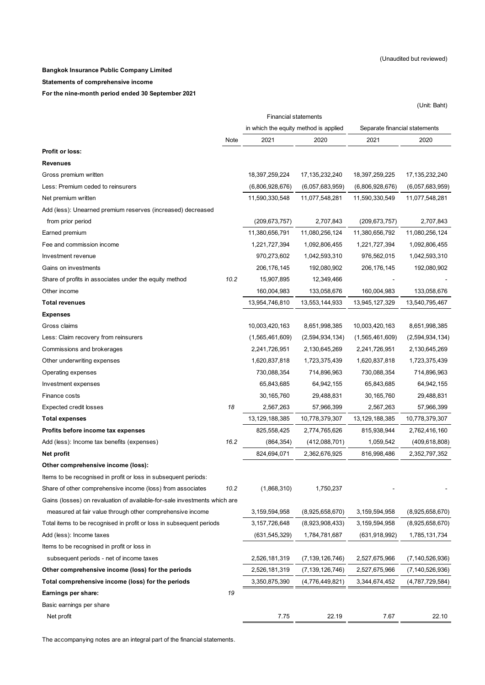#### **Bangkok Insurance Public Company Limited**

**Statements of comprehensive income**

**For the nine-month period ended 30 September 2021**

(Unit: Baht)

|                                                                           | <b>Financial statements</b> |                                       |                    |                               |                    |  |  |
|---------------------------------------------------------------------------|-----------------------------|---------------------------------------|--------------------|-------------------------------|--------------------|--|--|
|                                                                           |                             | in which the equity method is applied |                    | Separate financial statements |                    |  |  |
|                                                                           | Note                        | 2021                                  | 2020               | 2021                          | 2020               |  |  |
| Profit or loss:                                                           |                             |                                       |                    |                               |                    |  |  |
| <b>Revenues</b>                                                           |                             |                                       |                    |                               |                    |  |  |
| Gross premium written                                                     |                             | 18,397,259,224                        | 17,135,232,240     | 18,397,259,225                | 17,135,232,240     |  |  |
| Less: Premium ceded to reinsurers                                         |                             | (6,806,928,676)                       | (6,057,683,959)    | (6,806,928,676)               | (6,057,683,959)    |  |  |
| Net premium written                                                       |                             | 11,590,330,548                        | 11,077,548,281     | 11,590,330,549                | 11,077,548,281     |  |  |
| Add (less): Unearned premium reserves (increased) decreased               |                             |                                       |                    |                               |                    |  |  |
| from prior period                                                         |                             | (209, 673, 757)                       | 2,707,843          | (209, 673, 757)               | 2,707,843          |  |  |
| Earned premium                                                            |                             | 11,380,656,791                        | 11,080,256,124     | 11,380,656,792                | 11,080,256,124     |  |  |
| Fee and commission income                                                 |                             | 1,221,727,394                         | 1,092,806,455      | 1,221,727,394                 | 1,092,806,455      |  |  |
| Investment revenue                                                        |                             | 970,273,602                           | 1,042,593,310      | 976,562,015                   | 1,042,593,310      |  |  |
| Gains on investments                                                      |                             | 206, 176, 145                         | 192,080,902        | 206, 176, 145                 | 192,080,902        |  |  |
| Share of profits in associates under the equity method                    | 10.2                        | 15,907,895                            | 12,349,466         |                               |                    |  |  |
| Other income                                                              |                             | 160,004,983                           | 133,058,676        | 160,004,983                   | 133,058,676        |  |  |
| <b>Total revenues</b>                                                     |                             | 13,954,746,810                        | 13,553,144,933     | 13,945,127,329                | 13,540,795,467     |  |  |
| <b>Expenses</b>                                                           |                             |                                       |                    |                               |                    |  |  |
| Gross claims                                                              |                             | 10,003,420,163                        | 8,651,998,385      | 10,003,420,163                | 8,651,998,385      |  |  |
| Less: Claim recovery from reinsurers                                      |                             | (1,565,461,609)                       | (2,594,934,134)    | (1,565,461,609)               | (2,594,934,134)    |  |  |
| Commissions and brokerages                                                |                             | 2,241,726,951                         | 2,130,645,269      | 2,241,726,951                 | 2,130,645,269      |  |  |
| Other underwriting expenses                                               |                             | 1,620,837,818                         | 1,723,375,439      | 1,620,837,818                 | 1,723,375,439      |  |  |
| Operating expenses                                                        |                             | 730,088,354                           | 714,896,963        | 730,088,354                   | 714,896,963        |  |  |
| Investment expenses                                                       |                             | 65,843,685                            | 64,942,155         | 65,843,685                    | 64,942,155         |  |  |
| Finance costs                                                             |                             | 30,165,760                            | 29,488,831         | 30,165,760                    | 29,488,831         |  |  |
| <b>Expected credit losses</b>                                             | 18                          | 2,567,263                             | 57,966,399         | 2,567,263                     | 57,966,399         |  |  |
| <b>Total expenses</b>                                                     |                             | 13,129,188,385                        | 10,778,379,307     | 13,129,188,385                | 10,778,379,307     |  |  |
| Profits before income tax expenses                                        |                             | 825,558,425                           | 2,774,765,626      | 815,938,944                   | 2,762,416,160      |  |  |
| Add (less): Income tax benefits (expenses)                                | 16.2                        | (864, 354)                            | (412,088,701)      | 1,059,542                     | (409, 618, 808)    |  |  |
| Net profit                                                                |                             | 824,694,071                           | 2,362,676,925      | 816,998,486                   | 2,352,797,352      |  |  |
| Other comprehensive income (loss):                                        |                             |                                       |                    |                               |                    |  |  |
| Items to be recognised in profit or loss in subsequent periods:           |                             |                                       |                    |                               |                    |  |  |
| Share of other comprehensive income (loss) from associates                | 10.2                        | (1,868,310)                           | 1,750,237          |                               |                    |  |  |
| Gains (losses) on revaluation of available-for-sale investments which are |                             |                                       |                    |                               |                    |  |  |
| measured at fair value through other comprehensive income                 |                             | 3,159,594,958                         | (8,925,658,670)    | 3,159,594,958                 | (8,925,658,670)    |  |  |
| Total items to be recognised in profit or loss in subsequent periods      |                             | 3,157,726,648                         | (8,923,908,433)    | 3,159,594,958                 | (8,925,658,670)    |  |  |
| Add (less): Income taxes                                                  |                             | (631, 545, 329)                       | 1,784,781,687      | (631, 918, 992)               | 1,785,131,734      |  |  |
| Items to be recognised in profit or loss in                               |                             |                                       |                    |                               |                    |  |  |
| subsequent periods - net of income taxes                                  |                             | 2,526,181,319                         | (7, 139, 126, 746) | 2,527,675,966                 | (7, 140, 526, 936) |  |  |
| Other comprehensive income (loss) for the periods                         |                             | 2,526,181,319                         | (7, 139, 126, 746) | 2,527,675,966                 | (7, 140, 526, 936) |  |  |
| Total comprehensive income (loss) for the periods                         |                             | 3,350,875,390                         | (4,776,449,821)    | 3,344,674,452                 | (4,787,729,584)    |  |  |
| Earnings per share:                                                       | 19                          |                                       |                    |                               |                    |  |  |
| Basic earnings per share                                                  |                             |                                       |                    |                               |                    |  |  |
| Net profit                                                                |                             | 7.75                                  | 22.19              | 7.67                          | 22.10              |  |  |

The accompanying notes are an integral part of the financial statements.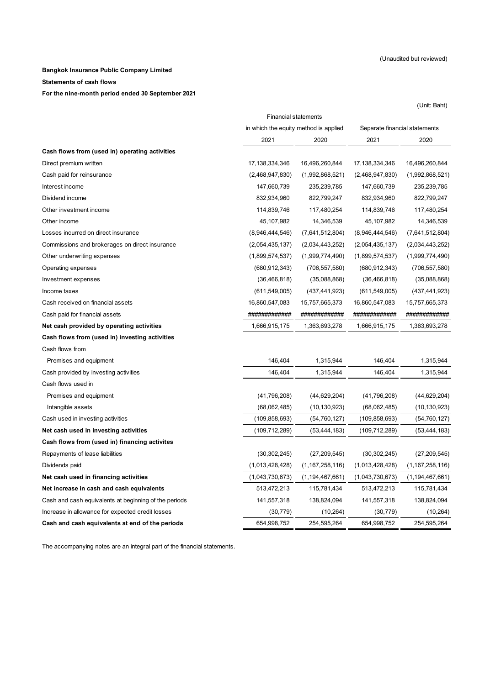(Unit: Baht)

#### **Bangkok Insurance Public Company Limited**

**Statements of cash flows**

#### **For the nine-month period ended 30 September 2021**

2021 2020 2021 2020 Direct premium written 17,138,334,346 16,496,260,844 17,138,334,346 16,496,260,844 Cash paid for reinsurance (2,468,947,830) (1,992,868,521) (2,468,947,830) (1,992,868,521) Interest income 147,660,739 235,239,785 147,660,739 235,239,785 Dividend income 832,934,960 822,799,247 832,934,960 822,799,247 Other investment income 114,839,746 117,480,254 114,839,746 117,480,254 Other income 45,107,982 14,346,539 45,107,982 14,346,539 Losses incurred on direct insurance (8,946,444,546) (7,641,512,804) (8,946,444,546) (7,641,512,804) Commissions and brokerages on direct insurance (2,054,435,137) (2,034,443,252) (2,054,435,137) (2,034,443,252) Other underwriting expenses (1,899,574,537) (1,999,774,490) (1,899,574,537) (1,999,774,490) Operating expenses (680,912,343) (706,557,580) (680,912,343) (706,557,580) Investment expenses (36,466,818) (35,088,868) (36,466,818) (35,088,868) Income taxes (611,549,005) (437,441,923) (611,549,005) (437,441,923) Cash received on financial assets 16,860,547,083 15,757,665,373 16,860,547,083 15,757,665,373 Cash paid for financial assets ############# ############# ############# ############# **Net cash provided by operating activities** 1,666,915,175 1,666,915,175 1,363,693,278 1,666,915,175 1,363,693,278 **Cash flows from (used in) investing activities** Cash flows from Premises and equipment 146,404 1,315,944 1,315,944 1,315,944 1,315,944 1,315,944 1,315,944 Cash provided by investing activities 146,404 1,315,944 146,404 1,315,944 Cash flows used in Premises and equipment (41,796,208) (44,629,204) (41,796,208) (44,629,204) Intangible assets (68,062,485) (10,130,923) (68,062,485) (10,130,923) Cash used in investing activities (109,858,693) (54,760,127) (109,858,693) (54,760,127) **Net cash used in investing activities** (109,712,289) (53,444,183) (109,712,289) (53,444,183) **Cash flows from (used in) financing activites** Repayments of lease liabilities (30,302,245) (27,209,545) (30,302,245) (27,209,545) Dividends paid (1,013,428,428) (1,167,258,116) (1,013,428,428) (1,167,258,116) **Net cash used in financing activities** (1,043,730,673) (1,194,467,661) (1,043,730,673) (1,194,467,661) **Net increase in cash and cash equivalents** 513,472,213 115,781,434 513,472,213 115,781,434 Cash and cash equivalents at beginning of the periods 141,557,318 138,824,094 141,557,318 138,824,094 Increase in allowance for expected credit losses (30,779) (10,264) (30,779) (30,779) (10,264) **Cash and cash equivalents at end of the periods** 654,998,752 254,595,264 654,998,752 254,595,264 **Cash flows from (used in) operating activities** Financial statements in which the equity method is applied Separate financial statements

The accompanying notes are an integral part of the financial statements.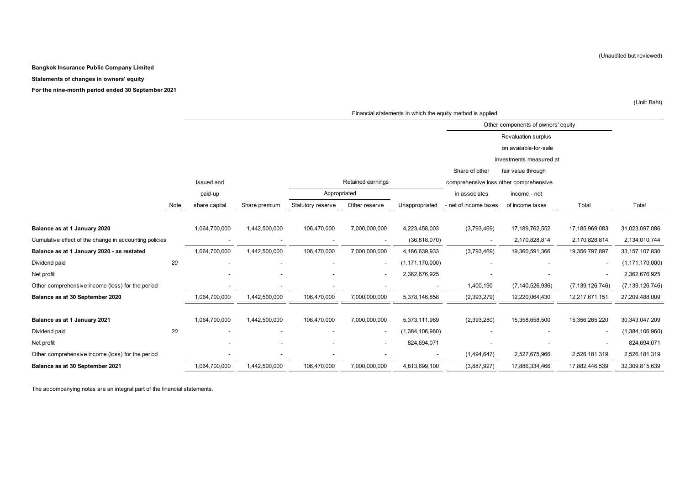#### **Bangkok Insurance Public Company Limited**

#### **Statements of changes in owners' equity**

**For the nine-month period ended 30 September 2021**

|                                                        |      | Financial statements in which the equity method is applied |               |                   |                   |                    |                                        |                         |                    |                    |
|--------------------------------------------------------|------|------------------------------------------------------------|---------------|-------------------|-------------------|--------------------|----------------------------------------|-------------------------|--------------------|--------------------|
|                                                        |      |                                                            |               |                   |                   |                    | Other components of owners' equity     |                         |                    |                    |
|                                                        |      |                                                            |               |                   |                   |                    |                                        | Revaluation surplus     |                    |                    |
|                                                        |      |                                                            |               |                   |                   |                    |                                        | on available-for-sale   |                    |                    |
|                                                        |      |                                                            |               |                   |                   |                    |                                        | investments measured at |                    |                    |
|                                                        |      |                                                            |               |                   |                   |                    | Share of other                         | fair value through      |                    |                    |
|                                                        |      | Issued and                                                 |               |                   | Retained earnings |                    | comprehensive loss other comprehensive |                         |                    |                    |
|                                                        |      | paid-up                                                    |               | Appropriated      |                   |                    | in associates                          | income - net            |                    |                    |
|                                                        | Note | share capital                                              | Share premium | Statutory reserve | Other reserve     | Unappropriated     | - net of income taxes                  | of income taxes         | Total              | Total              |
|                                                        |      |                                                            |               |                   |                   |                    |                                        |                         |                    |                    |
| Balance as at 1 January 2020                           |      | 1,064,700,000                                              | 1,442,500,000 | 106,470,000       | 7,000,000,000     | 4,223,458,003      | (3,793,469)                            | 17,189,762,552          | 17,185,969,083     | 31,023,097,086     |
| Cumulative effect of the change in accounting policies |      |                                                            |               |                   |                   | (36, 818, 070)     | $\blacksquare$                         | 2,170,828,814           | 2,170,828,814      | 2,134,010,744      |
| Balance as at 1 January 2020 - as restated             |      | 1,064,700,000                                              | 1,442,500,000 | 106,470,000       | 7,000,000,000     | 4,186,639,933      | (3,793,469)                            | 19,360,591,366          | 19,356,797,897     | 33, 157, 107, 830  |
| Dividend paid                                          | 20   |                                                            |               |                   |                   | (1, 171, 170, 000) |                                        |                         |                    | (1, 171, 170, 000) |
| Net profit                                             |      |                                                            |               |                   |                   | 2,362,676,925      |                                        |                         |                    | 2,362,676,925      |
| Other comprehensive income (loss) for the period       |      |                                                            |               |                   |                   |                    | 1,400,190                              | (7, 140, 526, 936)      | (7, 139, 126, 746) | (7, 139, 126, 746) |
| Balance as at 30 September 2020                        |      | 1,064,700,000                                              | 1,442,500,000 | 106,470,000       | 7,000,000,000     | 5,378,146,858      | (2,393,279)                            | 12,220,064,430          | 12,217,671,151     | 27,209,488,009     |
|                                                        |      |                                                            |               |                   |                   |                    |                                        |                         |                    |                    |
| Balance as at 1 January 2021                           |      | 1,064,700,000                                              | 1,442,500,000 | 106,470,000       | 7,000,000,000     | 5,373,111,989      | (2,393,280)                            | 15,358,658,500          | 15,356,265,220     | 30,343,047,209     |
| Dividend paid                                          | 20   |                                                            |               |                   |                   | (1,384,106,960)    |                                        |                         |                    | (1,384,106,960)    |
| Net profit                                             |      |                                                            |               |                   |                   | 824,694,071        |                                        |                         |                    | 824,694,071        |
| Other comprehensive income (loss) for the period       |      |                                                            |               |                   |                   |                    | (1,494,647)                            | 2,527,675,966           | 2,526,181,319      | 2,526,181,319      |
| Balance as at 30 September 2021                        |      | 1,064,700,000                                              | 1,442,500,000 | 106,470,000       | 7,000,000,000     | 4,813,699,100      | (3,887,927)                            | 17,886,334,466          | 17,882,446,539     | 32,309,815,639     |

The accompanying notes are an integral part of the financial statements.

(Unit: Baht)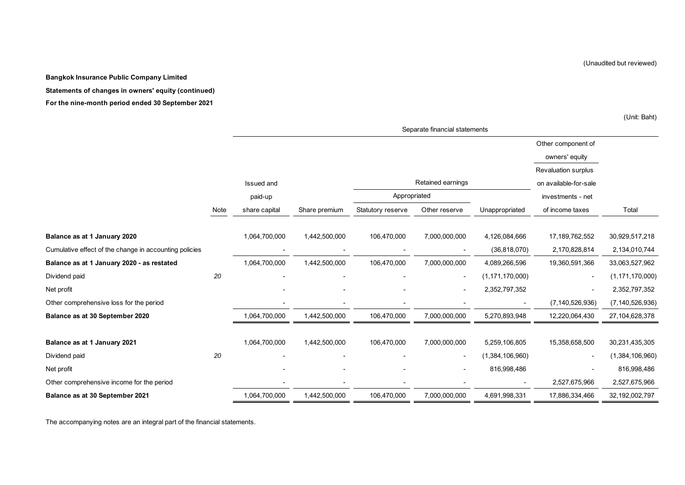**Bangkok Insurance Public Company Limited**

**Statements of changes in owners' equity (continued)**

**For the nine-month period ended 30 September 2021**

Other component of owners' equity Revaluation surplus Issued and **on available-for-sale Constant Constant Constant Constant Constant Constant Constant Constant Constant Constant Constant Constant Constant Constant Constant Constant Constant Constant Constant Constant Consta** paid-up investments - net investments - net investments - net Note share capital Share premium Statutory reserve Other reserve Unappropriated of income taxes Total **Balance as at 1 January 2020** 1,064,700,000 1,442,500,000 106,470,000 7,000,000,000 4,126,084,666 17,189,762,552 30,929,517,218 Cumulative effect of the change in accounting policies - - - - (36,818,070) 2,170,828,814 2,134,010,744 **Balance as at 1 January 2020 - as restated** 1,064,700,000 1,442,500,000 106,470,000 7,000,000,000 4,089,266,596 19,360,591,366 33,063,527,962 Dividend paid *20* - - - - (1,171,170,000) - (1,171,170,000) Net profit - - - - 2,352,797,352 - 2,352,797,352 Other comprehensive loss for the period - - - - - (7,140,526,936) (7,140,526,936) **Balance as at 30 September 2020** 1,064,700,000 1,442,500,000 106,470,000 7,000,000,000 5,270,893,948 12,220,064,430 27,104,628,378 **Balance as at 1 January 2021** 1,064,700,000 1,442,500,000 106,470,000 7,000,000,000 5,259,106,805 15,358,658,500 30,231,435,305 Dividend paid *20* - - - - (1,384,106,960) - (1,384,106,960) Net profit - - - - 816,998,486 - 816,998,486 Other comprehensive income for the period **COLOGY 2,527,675,966** 2,527,675,966 2,527,675,966 2,527,675,966 2,527,675,966 **Balance as at 30 September 2021** 1,064,700,000 1,442,500,000 106,470,000 7,000,000,000 4,691,998,331 17,886,334,466 32,192,002,797 Retained earnings Appropriated Separate financial statements

The accompanying notes are an integral part of the financial statements.

(Unaudited but reviewed)

(Unit: Baht)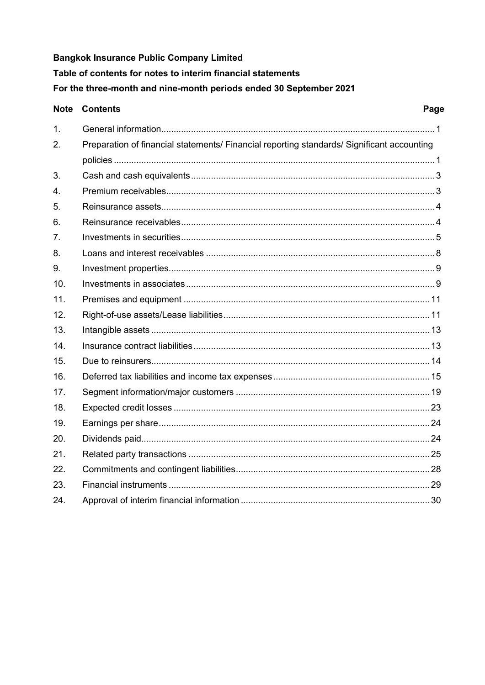**Bangkok Insurance Public Company Limited** Table of contents for notes to interim financial statements For the three-month and nine-month periods ended 30 September 2021

|     | <b>Note Contents</b>                                                                       | Page |
|-----|--------------------------------------------------------------------------------------------|------|
| 1.  |                                                                                            |      |
| 2.  | Preparation of financial statements/ Financial reporting standards/ Significant accounting |      |
|     |                                                                                            |      |
| 3.  |                                                                                            |      |
| 4.  |                                                                                            |      |
| 5.  |                                                                                            |      |
| 6.  |                                                                                            |      |
| 7.  |                                                                                            |      |
| 8.  |                                                                                            |      |
| 9.  |                                                                                            |      |
| 10. |                                                                                            |      |
| 11. |                                                                                            |      |
| 12. |                                                                                            |      |
| 13. |                                                                                            |      |
| 14. |                                                                                            |      |
| 15. |                                                                                            |      |
| 16. |                                                                                            |      |
| 17. |                                                                                            |      |
| 18. |                                                                                            |      |
| 19. |                                                                                            |      |
| 20. |                                                                                            |      |
| 21. |                                                                                            |      |
| 22. |                                                                                            |      |
| 23. |                                                                                            |      |
| 24. |                                                                                            |      |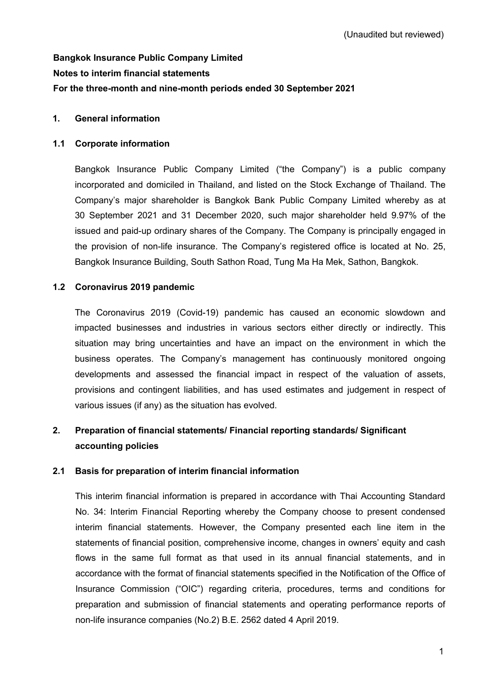# **Bangkok Insurance Public Company Limited Notes to interim financial statements For the three-month and nine-month periods ended 30 September 2021**

# **1. General information**

# **1.1 Corporate information**

Bangkok Insurance Public Company Limited ("the Company") is a public company incorporated and domiciled in Thailand, and listed on the Stock Exchange of Thailand. The Company's major shareholder is Bangkok Bank Public Company Limited whereby as at 30 September 2021 and 31 December 2020, such major shareholder held 9.97% of the issued and paid-up ordinary shares of the Company. The Company is principally engaged in the provision of non-life insurance. The Company's registered office is located at No. 25, Bangkok Insurance Building, South Sathon Road, Tung Ma Ha Mek, Sathon, Bangkok.

# **1.2 Coronavirus 2019 pandemic**

The Coronavirus 2019 (Covid-19) pandemic has caused an economic slowdown and impacted businesses and industries in various sectors either directly or indirectly. This situation may bring uncertainties and have an impact on the environment in which the business operates. The Company's management has continuously monitored ongoing developments and assessed the financial impact in respect of the valuation of assets, provisions and contingent liabilities, and has used estimates and judgement in respect of various issues (if any) as the situation has evolved.

# **2. Preparation of financial statements/ Financial reporting standards/ Significant accounting policies**

# **2.1 Basis for preparation of interim financial information**

This interim financial information is prepared in accordance with Thai Accounting Standard No. 34: Interim Financial Reporting whereby the Company choose to present condensed interim financial statements. However, the Company presented each line item in the statements of financial position, comprehensive income, changes in owners' equity and cash flows in the same full format as that used in its annual financial statements, and in accordance with the format of financial statements specified in the Notification of the Office of Insurance Commission ("OIC") regarding criteria, procedures, terms and conditions for preparation and submission of financial statements and operating performance reports of non-life insurance companies (No.2) B.E. 2562 dated 4 April 2019.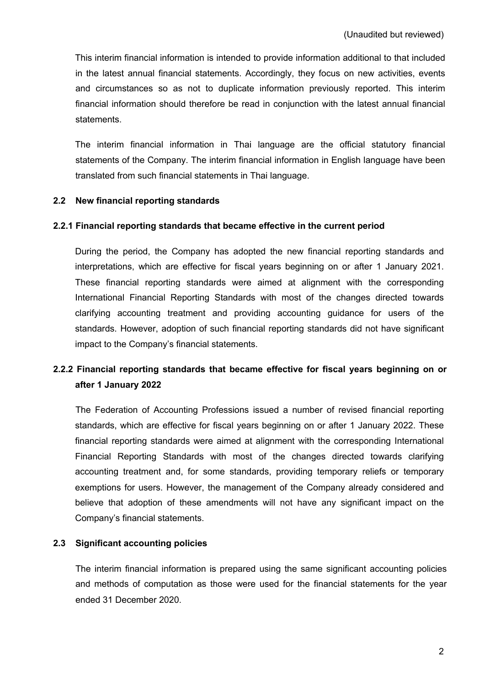This interim financial information is intended to provide information additional to that included in the latest annual financial statements. Accordingly, they focus on new activities, events and circumstances so as not to duplicate information previously reported. This interim financial information should therefore be read in conjunction with the latest annual financial statements.

The interim financial information in Thai language are the official statutory financial statements of the Company. The interim financial information in English language have been translated from such financial statements in Thai language.

# **2.2 New financial reporting standards**

#### **2.2.1 Financial reporting standards that became effective in the current period**

During the period, the Company has adopted the new financial reporting standards and interpretations, which are effective for fiscal years beginning on or after 1 January 2021. These financial reporting standards were aimed at alignment with the corresponding International Financial Reporting Standards with most of the changes directed towards clarifying accounting treatment and providing accounting guidance for users of the standards. However, adoption of such financial reporting standards did not have significant impact to the Company's financial statements.

# **2.2.2 Financial reporting standards that became effective for fiscal years beginning on or after 1 January 2022**

The Federation of Accounting Professions issued a number of revised financial reporting standards, which are effective for fiscal years beginning on or after 1 January 2022. These financial reporting standards were aimed at alignment with the corresponding International Financial Reporting Standards with most of the changes directed towards clarifying accounting treatment and, for some standards, providing temporary reliefs or temporary exemptions for users. However, the management of the Company already considered and believe that adoption of these amendments will not have any significant impact on the Company's financial statements.

#### **2.3 Significant accounting policies**

The interim financial information is prepared using the same significant accounting policies and methods of computation as those were used for the financial statements for the year ended 31 December 2020.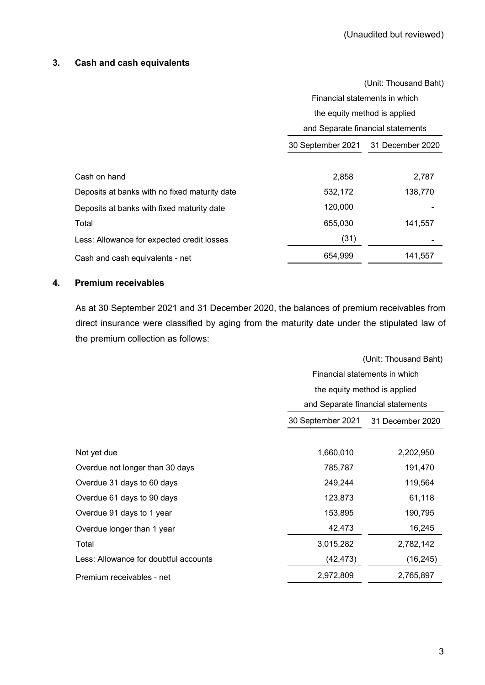#### **3. Cash and cash equivalents**

|                                               |                              | (Unit: Thousand Baht)             |
|-----------------------------------------------|------------------------------|-----------------------------------|
|                                               |                              | Financial statements in which     |
|                                               | the equity method is applied |                                   |
|                                               |                              | and Separate financial statements |
|                                               | 30 September 2021            | 31 December 2020                  |
|                                               |                              |                                   |
| Cash on hand                                  | 2,858                        | 2,787                             |
| Deposits at banks with no fixed maturity date | 532,172                      | 138,770                           |
| Deposits at banks with fixed maturity date    | 120,000                      |                                   |
| Total                                         | 655,030                      | 141,557                           |
| Less: Allowance for expected credit losses    | (31)                         |                                   |
| Cash and cash equivalents - net               | 654,999                      | 141,557                           |
|                                               |                              |                                   |

# **4. Premium receivables**

As at 30 September 2021 and 31 December 2020, the balances of premium receivables from direct insurance were classified by aging from the maturity date under the stipulated law of the premium collection as follows:

|                                       |                   | (Unit: Thousand Baht)             |  |  |  |
|---------------------------------------|-------------------|-----------------------------------|--|--|--|
|                                       |                   | Financial statements in which     |  |  |  |
|                                       |                   | the equity method is applied      |  |  |  |
|                                       |                   | and Separate financial statements |  |  |  |
|                                       | 30 September 2021 | 31 December 2020                  |  |  |  |
|                                       |                   |                                   |  |  |  |
| Not yet due                           | 1,660,010         | 2,202,950                         |  |  |  |
| Overdue not longer than 30 days       | 785,787           | 191,470                           |  |  |  |
| Overdue 31 days to 60 days            | 249,244           | 119,564                           |  |  |  |
| Overdue 61 days to 90 days            | 123,873           | 61,118                            |  |  |  |
| Overdue 91 days to 1 year             | 153,895           | 190,795                           |  |  |  |
| Overdue longer than 1 year            | 42,473            | 16,245                            |  |  |  |
| Total                                 | 3,015,282         | 2,782,142                         |  |  |  |
| Less: Allowance for doubtful accounts | (42, 473)         | (16, 245)                         |  |  |  |
| Premium receivables - net             | 2,972,809         | 2,765,897                         |  |  |  |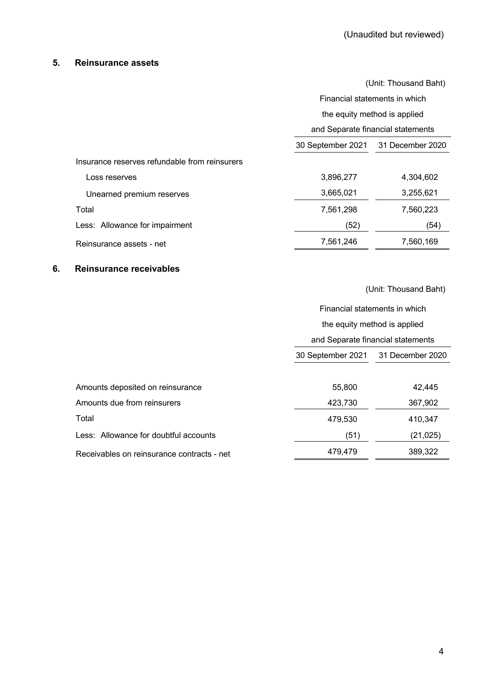# **5. Reinsurance assets**

|                                               |                                       | Financial statements in which |  |  |
|-----------------------------------------------|---------------------------------------|-------------------------------|--|--|
|                                               |                                       |                               |  |  |
|                                               | the equity method is applied          |                               |  |  |
|                                               | and Separate financial statements     |                               |  |  |
|                                               | 30 September 2021<br>31 December 2020 |                               |  |  |
| Insurance reserves refundable from reinsurers |                                       |                               |  |  |
| 3,896,277<br>Loss reserves                    |                                       | 4,304,602                     |  |  |
| 3,665,021<br>Unearned premium reserves        |                                       | 3,255,621                     |  |  |
| Total<br>7,561,298                            |                                       | 7,560,223                     |  |  |
| Less: Allowance for impairment                | (52)                                  | (54)                          |  |  |
| Reinsurance assets - net                      | 7,561,246<br>7,560,169                |                               |  |  |

#### **6. Reinsurance receivables**

(Unit: Thousand Baht)

Financial statements in which

|                                            | the equity method is applied          |           |  |  |  |
|--------------------------------------------|---------------------------------------|-----------|--|--|--|
|                                            | and Separate financial statements     |           |  |  |  |
|                                            | 30 September 2021<br>31 December 2020 |           |  |  |  |
|                                            |                                       |           |  |  |  |
| Amounts deposited on reinsurance           | 55,800                                | 42,445    |  |  |  |
| Amounts due from reinsurers                | 423,730                               | 367,902   |  |  |  |
| Total                                      | 479,530                               | 410,347   |  |  |  |
| Less: Allowance for doubtful accounts      | (51)                                  | (21, 025) |  |  |  |
| Receivables on reinsurance contracts - net | 389,322<br>479.479                    |           |  |  |  |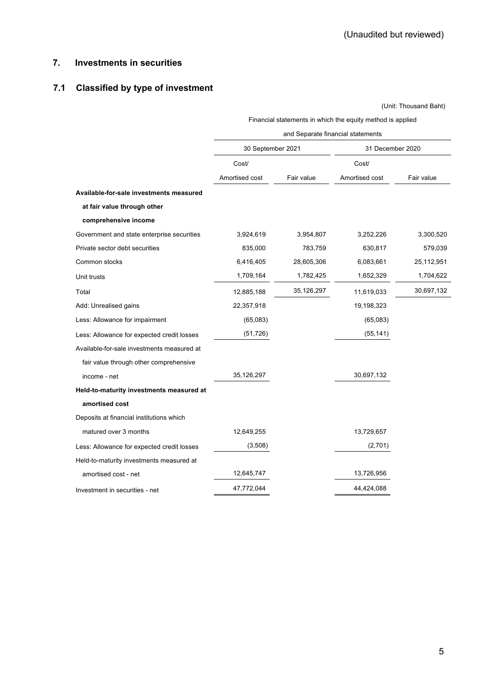# **7. Investments in securities**

# **7.1 Classified by type of investment**

(Unit: Thousand Baht)

|                                            | and Separate financial statements |            |                  |            |  |  |
|--------------------------------------------|-----------------------------------|------------|------------------|------------|--|--|
|                                            | 30 September 2021                 |            | 31 December 2020 |            |  |  |
|                                            | Cost/                             |            | Cost/            |            |  |  |
|                                            | Amortised cost                    | Fair value | Amortised cost   | Fair value |  |  |
| Available-for-sale investments measured    |                                   |            |                  |            |  |  |
| at fair value through other                |                                   |            |                  |            |  |  |
| comprehensive income                       |                                   |            |                  |            |  |  |
| Government and state enterprise securities | 3,924,619                         | 3,954,807  | 3,252,226        | 3,300,520  |  |  |
| Private sector debt securities             | 835,000                           | 783,759    | 630,817          | 579,039    |  |  |
| Common stocks                              | 6,416,405                         | 28,605,306 | 6,083,661        | 25,112,951 |  |  |
| Unit trusts                                | 1,709,164                         | 1,782,425  | 1,652,329        | 1,704,622  |  |  |
| Total                                      | 12,885,188                        | 35,126,297 | 11,619,033       | 30,697,132 |  |  |
| Add: Unrealised gains                      | 22,357,918                        |            | 19,198,323       |            |  |  |
| Less: Allowance for impairment             | (65,083)                          |            | (65,083)         |            |  |  |
| Less: Allowance for expected credit losses | (51, 726)                         |            | (55, 141)        |            |  |  |
| Available-for-sale investments measured at |                                   |            |                  |            |  |  |
| fair value through other comprehensive     |                                   |            |                  |            |  |  |
| income - net                               | 35,126,297                        |            | 30,697,132       |            |  |  |
| Held-to-maturity investments measured at   |                                   |            |                  |            |  |  |
| amortised cost                             |                                   |            |                  |            |  |  |
| Deposits at financial institutions which   |                                   |            |                  |            |  |  |
| matured over 3 months                      | 12,649,255                        |            | 13,729,657       |            |  |  |
| Less: Allowance for expected credit losses | (3,508)                           |            | (2,701)          |            |  |  |
| Held-to-maturity investments measured at   |                                   |            |                  |            |  |  |
| amortised cost - net                       | 12,645,747                        |            | 13,726,956       |            |  |  |
| Investment in securities - net             | 47,772,044                        |            | 44,424,088       |            |  |  |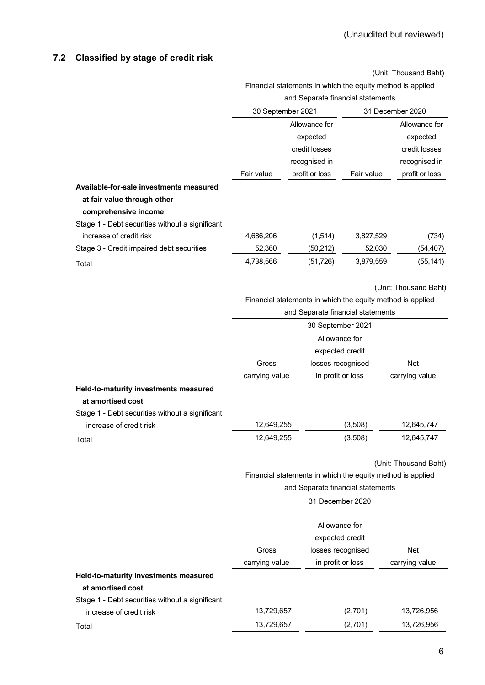# **7.2 Classified by stage of credit risk**

(Unit: Thousand Baht)

|                                                 |                                                            | and Separate financial statements                          |            |                       |
|-------------------------------------------------|------------------------------------------------------------|------------------------------------------------------------|------------|-----------------------|
|                                                 | 30 September 2021                                          |                                                            |            | 31 December 2020      |
|                                                 |                                                            | Allowance for                                              |            | Allowance for         |
|                                                 |                                                            | expected                                                   |            | expected              |
|                                                 |                                                            | credit losses                                              |            | credit losses         |
|                                                 |                                                            | recognised in                                              |            | recognised in         |
|                                                 | Fair value                                                 | profit or loss                                             | Fair value | profit or loss        |
| Available-for-sale investments measured         |                                                            |                                                            |            |                       |
| at fair value through other                     |                                                            |                                                            |            |                       |
| comprehensive income                            |                                                            |                                                            |            |                       |
| Stage 1 - Debt securities without a significant |                                                            |                                                            |            |                       |
| increase of credit risk                         | 4,686,206                                                  | (1, 514)                                                   | 3,827,529  | (734)                 |
| Stage 3 - Credit impaired debt securities       | 52,360                                                     | (50, 212)                                                  | 52,030     | (54, 407)             |
| Total                                           | 4,738,566                                                  | (51, 726)                                                  | 3,879,559  | (55, 141)             |
|                                                 |                                                            |                                                            |            | (Unit: Thousand Baht) |
|                                                 |                                                            | Financial statements in which the equity method is applied |            |                       |
|                                                 |                                                            | and Separate financial statements                          |            |                       |
|                                                 |                                                            | 30 September 2021                                          |            |                       |
|                                                 |                                                            | Allowance for                                              |            |                       |
|                                                 |                                                            | expected credit                                            |            |                       |
|                                                 | Gross                                                      | losses recognised                                          |            | Net                   |
|                                                 | carrying value                                             | in profit or loss                                          |            | carrying value        |
| Held-to-maturity investments measured           |                                                            |                                                            |            |                       |
| at amortised cost                               |                                                            |                                                            |            |                       |
| Stage 1 - Debt securities without a significant |                                                            |                                                            |            |                       |
| increase of credit risk                         | 12,649,255                                                 |                                                            | (3,508)    | 12,645,747            |
| Total                                           | 12,649,255                                                 |                                                            | (3,508)    | 12,645,747            |
|                                                 |                                                            |                                                            |            | (Unit: Thousand Baht) |
|                                                 | Financial statements in which the equity method is applied |                                                            |            |                       |
|                                                 | and Separate financial statements                          |                                                            |            |                       |
|                                                 |                                                            | 31 December 2020                                           |            |                       |
|                                                 |                                                            |                                                            |            |                       |
|                                                 |                                                            | Allowance for                                              |            |                       |

|                                                 |                 | , ,,,,,,,,,,,,,,,,,,, |                |  |  |
|-------------------------------------------------|-----------------|-----------------------|----------------|--|--|
|                                                 | expected credit |                       |                |  |  |
|                                                 | Gross           | losses recognised     | Net            |  |  |
|                                                 | carrying value  | in profit or loss     | carrying value |  |  |
| Held-to-maturity investments measured           |                 |                       |                |  |  |
| at amortised cost                               |                 |                       |                |  |  |
| Stage 1 - Debt securities without a significant |                 |                       |                |  |  |
| increase of credit risk                         | 13,729,657      | (2,701)               | 13,726,956     |  |  |
| Total                                           | 13,729,657      | (2,701)               | 13,726,956     |  |  |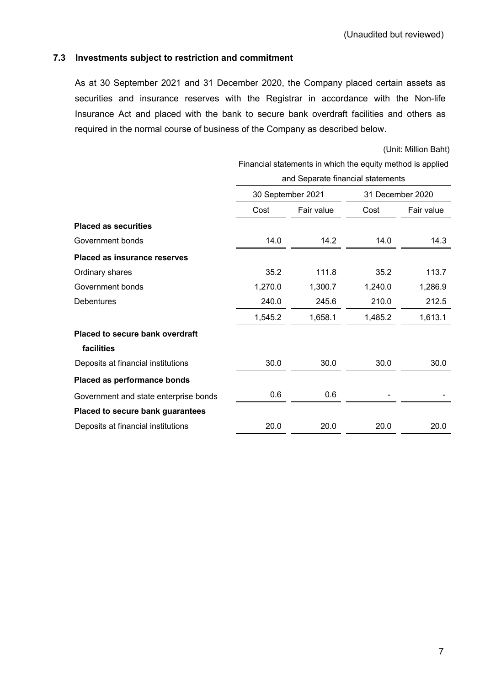### **7.3 Investments subject to restriction and commitment**

As at 30 September 2021 and 31 December 2020, the Company placed certain assets as securities and insurance reserves with the Registrar in accordance with the Non-life Insurance Act and placed with the bank to secure bank overdraft facilities and others as required in the normal course of business of the Company as described below.

(Unit: Million Baht)

|                                        | <u>I mandal statements in which the equity method is applied</u> |                                   |                  |            |  |  |  |
|----------------------------------------|------------------------------------------------------------------|-----------------------------------|------------------|------------|--|--|--|
|                                        |                                                                  | and Separate financial statements |                  |            |  |  |  |
|                                        | 30 September 2021                                                |                                   | 31 December 2020 |            |  |  |  |
|                                        | Cost                                                             | Fair value                        |                  | Fair value |  |  |  |
| <b>Placed as securities</b>            |                                                                  |                                   |                  |            |  |  |  |
| Government bonds                       | 14.0                                                             | 14.2                              | 14.0             | 14.3       |  |  |  |
| <b>Placed as insurance reserves</b>    |                                                                  |                                   |                  |            |  |  |  |
| Ordinary shares                        | 35.2                                                             | 111.8                             | 35.2             | 113.7      |  |  |  |
| Government bonds                       | 1,270.0                                                          | 1,300.7                           | 1,240.0          | 1,286.9    |  |  |  |
| <b>Debentures</b>                      | 240.0                                                            | 245.6                             | 210.0            | 212.5      |  |  |  |
|                                        | 1,545.2                                                          | 1,658.1                           | 1,485.2          | 1,613.1    |  |  |  |
| <b>Placed to secure bank overdraft</b> |                                                                  |                                   |                  |            |  |  |  |
| facilities                             |                                                                  |                                   |                  |            |  |  |  |
| Deposits at financial institutions     | 30.0                                                             | 30.0                              | 30.0             | 30.0       |  |  |  |
| Placed as performance bonds            |                                                                  |                                   |                  |            |  |  |  |
| Government and state enterprise bonds  | 0.6                                                              | 0.6                               |                  |            |  |  |  |
| Placed to secure bank guarantees       |                                                                  |                                   |                  |            |  |  |  |
| Deposits at financial institutions     | 20.0                                                             | 20.0                              | 20.0             | 20.0       |  |  |  |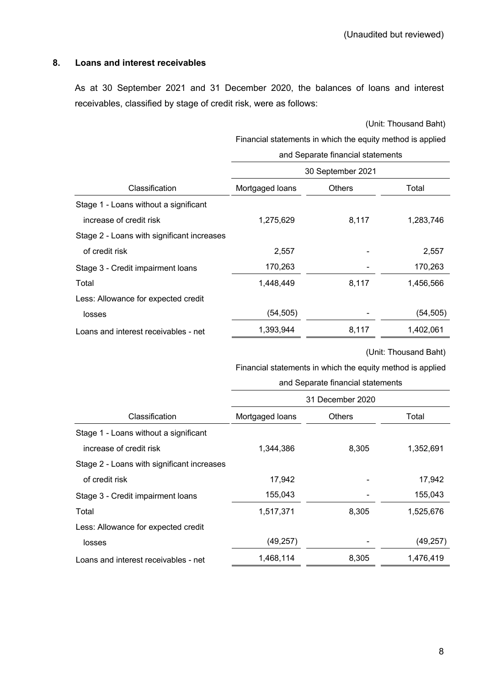# **8. Loans and interest receivables**

As at 30 September 2021 and 31 December 2020, the balances of loans and interest receivables, classified by stage of credit risk, were as follows:

(Unit: Thousand Baht)

Financial statements in which the equity method is applied

|                                            | and Separate financial statements |               |           |  |  |  |
|--------------------------------------------|-----------------------------------|---------------|-----------|--|--|--|
|                                            | 30 September 2021                 |               |           |  |  |  |
| Classification                             | Mortgaged loans                   | <b>Others</b> |           |  |  |  |
| Stage 1 - Loans without a significant      |                                   |               |           |  |  |  |
| increase of credit risk                    | 1,275,629                         | 8,117         | 1,283,746 |  |  |  |
| Stage 2 - Loans with significant increases |                                   |               |           |  |  |  |
| of credit risk                             | 2,557                             |               | 2,557     |  |  |  |
| Stage 3 - Credit impairment loans          | 170,263                           |               | 170,263   |  |  |  |
| Total                                      | 1,448,449                         | 8,117         | 1,456,566 |  |  |  |
| Less: Allowance for expected credit        |                                   |               |           |  |  |  |
| losses                                     | (54, 505)                         |               | (54, 505) |  |  |  |
| Loans and interest receivables - net       | 1,393,944                         | 8,117         | 1,402,061 |  |  |  |

(Unit: Thousand Baht)

|                                            | and Separate financial statements |       |           |  |  |  |
|--------------------------------------------|-----------------------------------|-------|-----------|--|--|--|
|                                            | 31 December 2020                  |       |           |  |  |  |
| Classification                             | Mortgaged loans<br><b>Others</b>  |       | Total     |  |  |  |
| Stage 1 - Loans without a significant      |                                   |       |           |  |  |  |
| increase of credit risk                    | 1,344,386                         | 8,305 | 1,352,691 |  |  |  |
| Stage 2 - Loans with significant increases |                                   |       |           |  |  |  |
| of credit risk                             | 17,942                            |       | 17,942    |  |  |  |
| Stage 3 - Credit impairment loans          | 155,043                           |       | 155,043   |  |  |  |
| Total                                      | 1,517,371                         | 8,305 | 1,525,676 |  |  |  |
| Less: Allowance for expected credit        |                                   |       |           |  |  |  |
| losses                                     | (49, 257)                         |       | (49, 257) |  |  |  |
| Loans and interest receivables - net       | 1,468,114                         | 8,305 | 1,476,419 |  |  |  |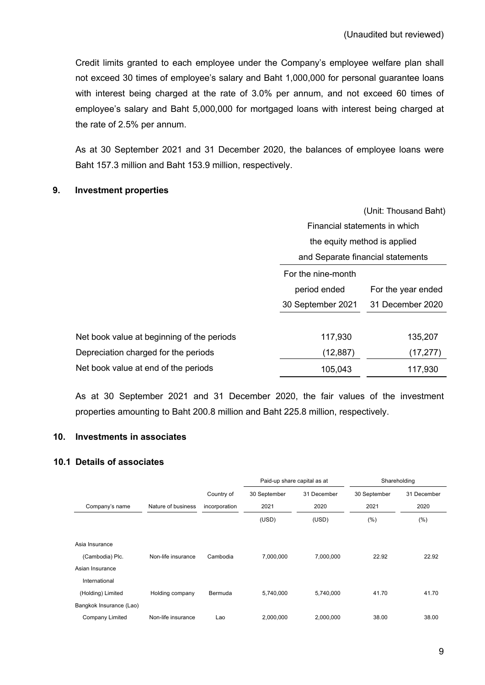Credit limits granted to each employee under the Company's employee welfare plan shall not exceed 30 times of employee's salary and Baht 1,000,000 for personal guarantee loans with interest being charged at the rate of 3.0% per annum, and not exceed 60 times of employee's salary and Baht 5,000,000 for mortgaged loans with interest being charged at the rate of 2.5% per annum.

As at 30 September 2021 and 31 December 2020, the balances of employee loans were Baht 157.3 million and Baht 153.9 million, respectively.

#### **9. Investment properties**

|                                            |                                    | (Unit: Thousand Baht) |  |  |  |
|--------------------------------------------|------------------------------------|-----------------------|--|--|--|
|                                            | Financial statements in which      |                       |  |  |  |
|                                            | the equity method is applied       |                       |  |  |  |
|                                            | and Separate financial statements  |                       |  |  |  |
|                                            | For the nine-month                 |                       |  |  |  |
|                                            | period ended<br>For the year ended |                       |  |  |  |
|                                            | 30 September 2021                  | 31 December 2020      |  |  |  |
|                                            |                                    |                       |  |  |  |
| Net book value at beginning of the periods | 117,930                            | 135,207               |  |  |  |
| Depreciation charged for the periods       | (12, 887)                          | (17,277)              |  |  |  |
| Net book value at end of the periods       | 105,043                            | 117,930               |  |  |  |

As at 30 September 2021 and 31 December 2020, the fair values of the investment properties amounting to Baht 200.8 million and Baht 225.8 million, respectively.

# **10. Investments in associates**

#### **10.1 Details of associates**

|                         |                    |               | Paid-up share capital as at<br>Shareholding |             |              |             |
|-------------------------|--------------------|---------------|---------------------------------------------|-------------|--------------|-------------|
|                         |                    | Country of    | 30 September                                | 31 December | 30 September | 31 December |
| Company's name          | Nature of business | incorporation | 2021                                        | 2020        | 2021         | 2020        |
|                         |                    |               | (USD)<br>(USD)                              |             | (% )         | (%)         |
|                         |                    |               |                                             |             |              |             |
| Asia Insurance          |                    |               |                                             |             |              |             |
| (Cambodia) Plc.         | Non-life insurance | Cambodia      | 7,000,000                                   | 7,000,000   | 22.92        | 22.92       |
| Asian Insurance         |                    |               |                                             |             |              |             |
| International           |                    |               |                                             |             |              |             |
| (Holding) Limited       | Holding company    | Bermuda       | 5,740,000                                   | 5,740,000   | 41.70        | 41.70       |
| Bangkok Insurance (Lao) |                    |               |                                             |             |              |             |
| Company Limited         | Non-life insurance | Lao           | 2,000,000                                   | 2,000,000   | 38.00        | 38.00       |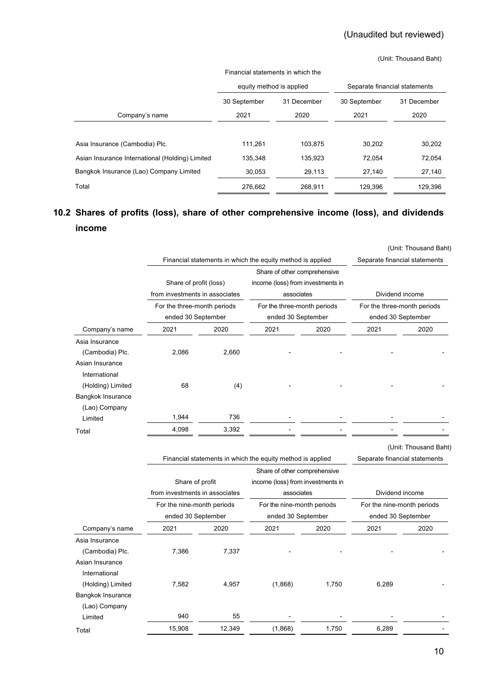#### (Unit: Thousand Baht)

| Financial statements in which the               |                             |         |                               |             |  |  |  |
|-------------------------------------------------|-----------------------------|---------|-------------------------------|-------------|--|--|--|
|                                                 | equity method is applied    |         | Separate financial statements |             |  |  |  |
|                                                 | 31 December<br>30 September |         | 30 September                  | 31 December |  |  |  |
| Company's name                                  | 2021                        | 2020    | 2021                          | 2020        |  |  |  |
|                                                 |                             |         |                               |             |  |  |  |
| Asia Insurance (Cambodia) Plc.                  | 111.261                     | 103.875 | 30,202                        | 30,202      |  |  |  |
| Asian Insurance International (Holding) Limited | 135,348                     | 135,923 | 72.054                        | 72,054      |  |  |  |
| Bangkok Insurance (Lao) Company Limited         | 30,053                      | 29,113  | 27,140                        | 27,140      |  |  |  |
| Total                                           | 276,662                     | 268.911 | 129.396                       | 129,396     |  |  |  |

# **10.2 Shares of profits (loss), share of other comprehensive income (loss), and dividends income**

|                                                                                                                                             |                                                          |                                                            |                                                                                 |                       |                 | (Unit: Thousand Baht)                             |  |  |
|---------------------------------------------------------------------------------------------------------------------------------------------|----------------------------------------------------------|------------------------------------------------------------|---------------------------------------------------------------------------------|-----------------------|-----------------|---------------------------------------------------|--|--|
|                                                                                                                                             |                                                          |                                                            | Financial statements in which the equity method is applied                      |                       |                 | Separate financial statements                     |  |  |
|                                                                                                                                             | Share of profit (loss)<br>from investments in associates |                                                            | Share of other comprehensive<br>income (loss) from investments in<br>associates |                       | Dividend income |                                                   |  |  |
|                                                                                                                                             | For the three-month periods                              |                                                            |                                                                                 |                       |                 |                                                   |  |  |
|                                                                                                                                             | ended 30 September                                       |                                                            | For the three-month periods<br>ended 30 September                               |                       |                 | For the three-month periods<br>ended 30 September |  |  |
| Company's name                                                                                                                              | 2021                                                     | 2020                                                       | 2021                                                                            | 2020                  | 2021            | 2020                                              |  |  |
| Asia Insurance<br>(Cambodia) Plc.<br>Asian Insurance<br>International<br>(Holding) Limited<br>Bangkok Insurance<br>(Lao) Company<br>Limited | 2,086<br>68<br>1,944                                     | 2,660<br>(4)<br>736                                        |                                                                                 |                       |                 |                                                   |  |  |
| Total                                                                                                                                       | 4,098                                                    | 3,392                                                      |                                                                                 |                       |                 |                                                   |  |  |
|                                                                                                                                             |                                                          | Financial statements in which the equity method is applied | Separate financial statements                                                   | (Unit: Thousand Baht) |                 |                                                   |  |  |
|                                                                                                                                             | Share of profit                                          |                                                            | income (loss) from investments in                                               |                       |                 |                                                   |  |  |

|                   | from investments in associates<br>For the nine-month periods |        | associates                 |       | Dividend income            |      |  |
|-------------------|--------------------------------------------------------------|--------|----------------------------|-------|----------------------------|------|--|
|                   |                                                              |        | For the nine-month periods |       | For the nine-month periods |      |  |
|                   | ended 30 September                                           |        | ended 30 September         |       | ended 30 September         |      |  |
| Company's name    | 2021                                                         | 2020   | 2021                       | 2020  | 2021                       | 2020 |  |
| Asia Insurance    |                                                              |        |                            |       |                            |      |  |
| (Cambodia) Plc.   | 7,386                                                        | 7,337  |                            |       |                            |      |  |
| Asian Insurance   |                                                              |        |                            |       |                            |      |  |
| International     |                                                              |        |                            |       |                            |      |  |
| (Holding) Limited | 7,582                                                        | 4,957  | (1,868)                    | 1,750 | 6,289                      |      |  |
| Bangkok Insurance |                                                              |        |                            |       |                            |      |  |
| (Lao) Company     |                                                              |        |                            |       |                            |      |  |
| Limited           | 940                                                          | 55     |                            |       |                            |      |  |
| Total             | 15,908                                                       | 12,349 | (1,868)                    | 1,750 | 6,289                      |      |  |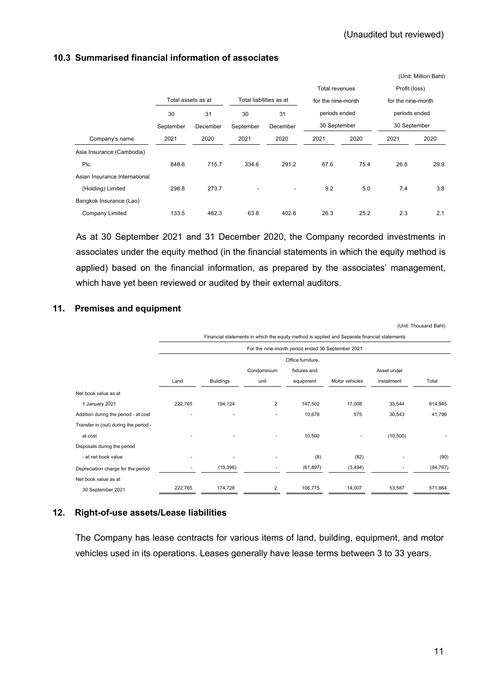|                               |           |                    |                           |                         |                |                    |                    | (Unit: Million Baht) |  |  |               |  |
|-------------------------------|-----------|--------------------|---------------------------|-------------------------|----------------|--------------------|--------------------|----------------------|--|--|---------------|--|
|                               |           |                    |                           |                         | Total revenues |                    | Profit (loss)      |                      |  |  |               |  |
|                               |           | Total assets as at |                           | Total liabilities as at |                | for the nine-month | for the nine-month |                      |  |  |               |  |
|                               | 30        | 31                 | periods ended<br>30<br>31 |                         |                |                    |                    |                      |  |  | periods ended |  |
|                               | September | December           | September                 | December                | 30 September   |                    | 30 September       |                      |  |  |               |  |
| Company's name                | 2021      | 2020               | 2021                      | 2020                    | 2021           | 2020               | 2021               | 2020                 |  |  |               |  |
| Asia Insurance (Cambodia)     |           |                    |                           |                         |                |                    |                    |                      |  |  |               |  |
| Plc.                          | 848.6     | 715.7              | 334.6                     | 291.2                   | 67.6           | 75.4               | 26.5               | 29.9                 |  |  |               |  |
| Asian Insurance International |           |                    |                           |                         |                |                    |                    |                      |  |  |               |  |
| (Holding) Limited             | 298.8     | 273.7              |                           | $\blacksquare$          | 9.2            | 5.0                | 7.4                | 3.8                  |  |  |               |  |
| Bangkok Insurance (Lao)       |           |                    |                           |                         |                |                    |                    |                      |  |  |               |  |
| Company Limited               | 133.5     | 462.3              | 63.8                      | 402.6                   | 26.3           | 25.2               | 2.3                | 2.1                  |  |  |               |  |

# **10.3 Summarised financial information of associates**

As at 30 September 2021 and 31 December 2020, the Company recorded investments in associates under the equity method (in the financial statements in which the equity method is applied) based on the financial information, as prepared by the associates' management, which have yet been reviewed or audited by their external auditors.

# **11. Premises and equipment**

|                                       |                                                                                              |                          |                |                                                   |                |             | (Unit: Thousand Baht) |
|---------------------------------------|----------------------------------------------------------------------------------------------|--------------------------|----------------|---------------------------------------------------|----------------|-------------|-----------------------|
|                                       | Financial statements in which the equity method is applied and Separate financial statements |                          |                |                                                   |                |             |                       |
|                                       |                                                                                              |                          |                | For the nine-month period ended 30 September 2021 |                |             |                       |
|                                       |                                                                                              |                          |                | Office furniture,                                 |                |             |                       |
|                                       |                                                                                              |                          | Condominium    | fixtures and                                      |                | Asset under |                       |
|                                       | Land                                                                                         | <b>Buildings</b>         | unit           | equipment                                         | Motor vehicles | installment | Total                 |
| Net book value as at                  |                                                                                              |                          |                |                                                   |                |             |                       |
| 1 January 2021                        | 222,765                                                                                      | 194,124                  | $\overline{2}$ | 147,502                                           | 17,008         | 33,544      | 614,945               |
| Addition during the period - at cost  |                                                                                              | $\overline{\phantom{a}}$ | ٠              | 10,678                                            | 575            | 30,543      | 41,796                |
| Transfer in (out) during the period - |                                                                                              |                          |                |                                                   |                |             |                       |
| at cost                               |                                                                                              |                          |                | 10,500                                            |                | (10, 500)   |                       |
| Disposals during the period           |                                                                                              |                          |                |                                                   |                |             |                       |
| - at net book value                   |                                                                                              |                          |                | (8)                                               | (82)           |             | (90)                  |
| Depreciation charge for the period    |                                                                                              | (19, 396)                | ۰              | (61, 897)                                         | (3, 494)       | ٠           | (84, 787)             |
| Net book value as at                  |                                                                                              |                          |                |                                                   |                |             |                       |
| 30 September 2021                     | 222,765                                                                                      | 174,728                  | $\overline{2}$ | 106,775                                           | 14,007         | 53,587      | 571,864               |

# **12. Right-of-use assets/Lease liabilities**

The Company has lease contracts for various items of land, building, equipment, and motor vehicles used in its operations. Leases generally have lease terms between 3 to 33 years.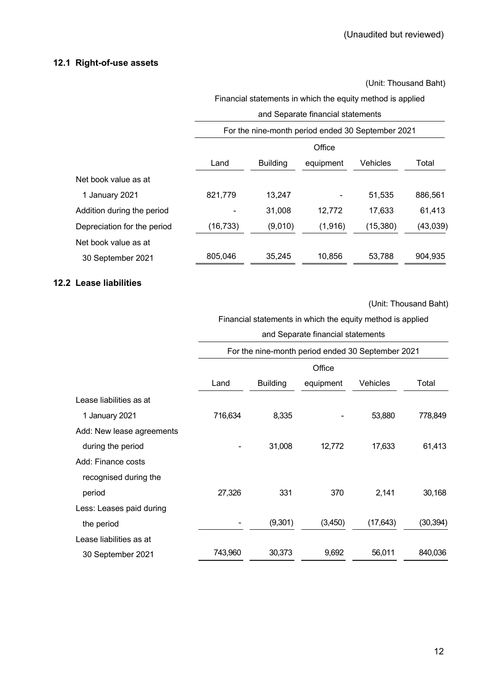#### **12.1 Right-of-use assets**

(Unit: Thousand Baht)

Financial statements in which the equity method is applied

|                             |          | and Separate financial statements                 |           |           |           |  |  |
|-----------------------------|----------|---------------------------------------------------|-----------|-----------|-----------|--|--|
|                             |          | For the nine-month period ended 30 September 2021 |           |           |           |  |  |
|                             |          | Office                                            |           |           |           |  |  |
|                             | Land     | <b>Building</b>                                   | equipment | Vehicles  | Total     |  |  |
| Net book value as at        |          |                                                   |           |           |           |  |  |
| 1 January 2021              | 821,779  | 13,247                                            |           | 51,535    | 886.561   |  |  |
| Addition during the period  |          | 31.008                                            | 12,772    | 17,633    | 61,413    |  |  |
| Depreciation for the period | (16,733) | (9,010)                                           | (1,916)   | (15, 380) | (43, 039) |  |  |
| Net book value as at        |          |                                                   |           |           |           |  |  |
| 30 September 2021           | 805,046  | 35.245                                            | 10,856    | 53.788    | 904,935   |  |  |

# **12.2 Lease liabilities**

(Unit: Thousand Baht)

Financial statements in which the equity method is applied

#### and Separate financial statements

|                           | For the nine-month period ended 30 September 2021 |                 |           |           |           |  |
|---------------------------|---------------------------------------------------|-----------------|-----------|-----------|-----------|--|
|                           |                                                   | Office          |           |           |           |  |
|                           | Land                                              | <b>Building</b> | equipment | Vehicles  | Total     |  |
| Lease liabilities as at   |                                                   |                 |           |           |           |  |
| 1 January 2021            | 716,634                                           | 8,335           |           | 53,880    | 778,849   |  |
| Add: New lease agreements |                                                   |                 |           |           |           |  |
| during the period         |                                                   | 31,008          | 12,772    | 17,633    | 61,413    |  |
| Add: Finance costs        |                                                   |                 |           |           |           |  |
| recognised during the     |                                                   |                 |           |           |           |  |
| period                    | 27,326                                            | 331             | 370       | 2,141     | 30,168    |  |
| Less: Leases paid during  |                                                   |                 |           |           |           |  |
| the period                |                                                   | (9,301)         | (3,450)   | (17, 643) | (30, 394) |  |
| Lease liabilities as at   |                                                   |                 |           |           |           |  |
| 30 September 2021         | 743,960                                           | 30,373          | 9,692     | 56,011    | 840,036   |  |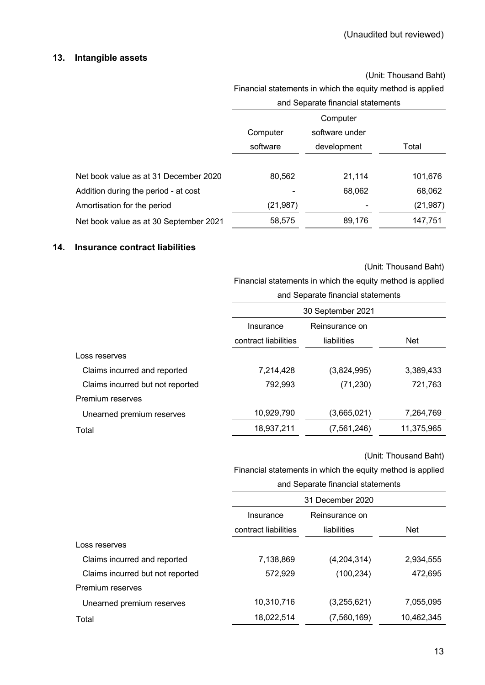# **13. Intangible assets**

(Unit: Thousand Baht)

|                                        | Financial statements in which the equity method is applied |        |           |  |  |
|----------------------------------------|------------------------------------------------------------|--------|-----------|--|--|
|                                        | and Separate financial statements                          |        |           |  |  |
|                                        | Computer                                                   |        |           |  |  |
|                                        | Computer                                                   |        |           |  |  |
|                                        | software<br>development                                    |        | Total     |  |  |
|                                        |                                                            |        |           |  |  |
| Net book value as at 31 December 2020  | 80,562                                                     | 21,114 | 101,676   |  |  |
| Addition during the period - at cost   |                                                            | 68,062 | 68,062    |  |  |
| Amortisation for the period            | (21, 987)                                                  |        | (21, 987) |  |  |
| Net book value as at 30 September 2021 | 58,575                                                     | 89,176 | 147,751   |  |  |

#### **14. Insurance contract liabilities**

#### (Unit: Thousand Baht)

Financial statements in which the equity method is applied

|                                  | and Separate financial statements |             |            |  |  |  |
|----------------------------------|-----------------------------------|-------------|------------|--|--|--|
|                                  | 30 September 2021                 |             |            |  |  |  |
|                                  | Insurance                         |             |            |  |  |  |
|                                  | contract liabilities              | liabilities | <b>Net</b> |  |  |  |
| Loss reserves                    |                                   |             |            |  |  |  |
| Claims incurred and reported     | 7,214,428                         | (3,824,995) | 3,389,433  |  |  |  |
| Claims incurred but not reported | 792,993                           | (71, 230)   | 721,763    |  |  |  |
| Premium reserves                 |                                   |             |            |  |  |  |
| Unearned premium reserves        | 10,929,790                        | (3,665,021) | 7,264,769  |  |  |  |
| Total                            | 18,937,211                        | (7,561,246) | 11,375,965 |  |  |  |
|                                  |                                   |             |            |  |  |  |

(Unit: Thousand Baht)

|                                  | and Separate financial statements   |             |            |  |  |  |
|----------------------------------|-------------------------------------|-------------|------------|--|--|--|
|                                  | 31 December 2020                    |             |            |  |  |  |
|                                  | Reinsurance on<br>Insurance         |             |            |  |  |  |
|                                  | contract liabilities<br>liabilities |             | <b>Net</b> |  |  |  |
| Loss reserves                    |                                     |             |            |  |  |  |
| Claims incurred and reported     | 7,138,869                           | (4,204,314) | 2,934,555  |  |  |  |
| Claims incurred but not reported | 572,929                             | (100, 234)  | 472,695    |  |  |  |
| Premium reserves                 |                                     |             |            |  |  |  |
| Unearned premium reserves        | 10,310,716                          | (3,255,621) | 7,055,095  |  |  |  |
| Total                            | 18,022,514                          | (7,560,169) | 10,462,345 |  |  |  |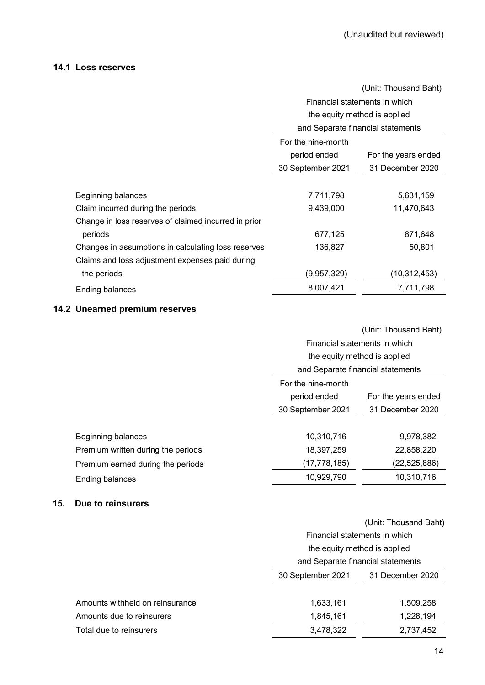## **14.1 Loss reserves**

|                                                      |                               | (Unit: Thousand Baht)             |  |  |
|------------------------------------------------------|-------------------------------|-----------------------------------|--|--|
|                                                      | Financial statements in which |                                   |  |  |
|                                                      |                               | the equity method is applied      |  |  |
|                                                      |                               | and Separate financial statements |  |  |
|                                                      | For the nine-month            |                                   |  |  |
|                                                      | period ended                  | For the years ended               |  |  |
|                                                      | 30 September 2021             | 31 December 2020                  |  |  |
|                                                      |                               |                                   |  |  |
| Beginning balances                                   | 7,711,798                     | 5,631,159                         |  |  |
| Claim incurred during the periods                    | 9,439,000                     | 11,470,643                        |  |  |
| Change in loss reserves of claimed incurred in prior |                               |                                   |  |  |
| periods                                              | 677,125                       | 871,648                           |  |  |
| Changes in assumptions in calculating loss reserves  | 136,827                       | 50,801                            |  |  |
| Claims and loss adjustment expenses paid during      |                               |                                   |  |  |
| the periods                                          | (9,957,329)                   | (10,312,453)                      |  |  |
| Ending balances                                      | 8,007,421                     | 7,711,798                         |  |  |

# **14.2 Unearned premium reserves**

|                                    |                                     | (Unit: Thousand Baht) |  |  |
|------------------------------------|-------------------------------------|-----------------------|--|--|
|                                    | Financial statements in which       |                       |  |  |
|                                    | the equity method is applied        |                       |  |  |
|                                    | and Separate financial statements   |                       |  |  |
|                                    | For the nine-month                  |                       |  |  |
|                                    | period ended<br>For the years ended |                       |  |  |
|                                    | 30 September 2021                   | 31 December 2020      |  |  |
|                                    |                                     |                       |  |  |
| Beginning balances                 | 10,310,716                          | 9,978,382             |  |  |
| Premium written during the periods | 18,397,259                          | 22,858,220            |  |  |
| Premium earned during the periods  | (17, 778, 185)                      | (22, 525, 886)        |  |  |
| Ending balances                    | 10,929,790                          | 10,310,716            |  |  |
|                                    |                                     |                       |  |  |

# **15. Due to reinsurers**

|                                 |                              | (Unit: Thousand Baht)             |  |  |  |
|---------------------------------|------------------------------|-----------------------------------|--|--|--|
|                                 |                              | Financial statements in which     |  |  |  |
|                                 | the equity method is applied |                                   |  |  |  |
|                                 |                              | and Separate financial statements |  |  |  |
|                                 | 30 September 2021            | 31 December 2020                  |  |  |  |
|                                 |                              |                                   |  |  |  |
| Amounts withheld on reinsurance | 1,633,161                    | 1,509,258                         |  |  |  |
| Amounts due to reinsurers       | 1,845,161                    | 1,228,194                         |  |  |  |
| Total due to reinsurers         | 3,478,322                    | 2,737,452                         |  |  |  |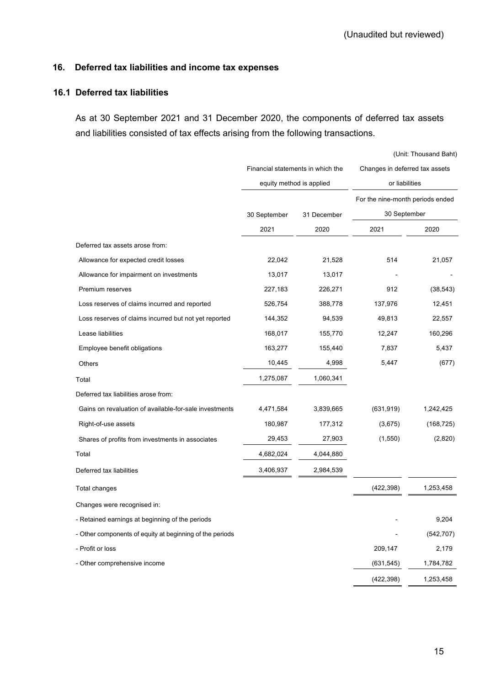# **16. Deferred tax liabilities and income tax expenses**

### **16.1 Deferred tax liabilities**

As at 30 September 2021 and 31 December 2020, the components of deferred tax assets and liabilities consisted of tax effects arising from the following transactions.

|                                                          |                                                               |             |                                  | (Unit: Thousand Baht) |  |
|----------------------------------------------------------|---------------------------------------------------------------|-------------|----------------------------------|-----------------------|--|
|                                                          | Financial statements in which the<br>equity method is applied |             | Changes in deferred tax assets   |                       |  |
|                                                          |                                                               |             | or liabilities                   |                       |  |
|                                                          |                                                               |             | For the nine-month periods ended |                       |  |
|                                                          | 30 September                                                  | 31 December | 30 September                     |                       |  |
|                                                          | 2021                                                          | 2020        | 2021                             | 2020                  |  |
| Deferred tax assets arose from:                          |                                                               |             |                                  |                       |  |
| Allowance for expected credit losses                     | 22,042                                                        | 21,528      | 514                              | 21,057                |  |
| Allowance for impairment on investments                  | 13,017                                                        | 13,017      |                                  |                       |  |
| Premium reserves                                         | 227,183                                                       | 226,271     | 912                              | (38, 543)             |  |
| Loss reserves of claims incurred and reported            | 526,754                                                       | 388,778     | 137,976                          | 12,451                |  |
| Loss reserves of claims incurred but not yet reported    | 144,352                                                       | 94,539      | 49,813                           | 22,557                |  |
| Lease liabilities                                        | 168,017                                                       | 155,770     | 12,247                           | 160,296               |  |
| Employee benefit obligations                             | 163,277                                                       | 155,440     | 7,837                            | 5,437                 |  |
| Others                                                   | 10,445                                                        | 4,998       | 5,447                            | (677)                 |  |
| Total                                                    | 1,275,087                                                     | 1,060,341   |                                  |                       |  |
| Deferred tax liabilities arose from:                     |                                                               |             |                                  |                       |  |
| Gains on revaluation of available-for-sale investments   | 4,471,584                                                     | 3,839,665   | (631, 919)                       | 1,242,425             |  |
| Right-of-use assets                                      | 180,987                                                       | 177,312     | (3,675)                          | (168, 725)            |  |
| Shares of profits from investments in associates         | 29,453                                                        | 27,903      | (1,550)                          | (2,820)               |  |
| Total                                                    | 4,682,024                                                     | 4,044,880   |                                  |                       |  |
| Deferred tax liabilities                                 | 3,406,937                                                     | 2,984,539   |                                  |                       |  |
| <b>Total changes</b>                                     |                                                               |             | (422, 398)                       | 1,253,458             |  |
| Changes were recognised in:                              |                                                               |             |                                  |                       |  |
| - Retained earnings at beginning of the periods          |                                                               |             |                                  | 9,204                 |  |
| - Other components of equity at beginning of the periods |                                                               |             |                                  | (542, 707)            |  |
| - Profit or loss                                         |                                                               |             | 209,147                          | 2,179                 |  |
| - Other comprehensive income                             |                                                               |             | (631, 545)                       | 1,784,782             |  |
|                                                          |                                                               |             | (422, 398)                       | 1,253,458             |  |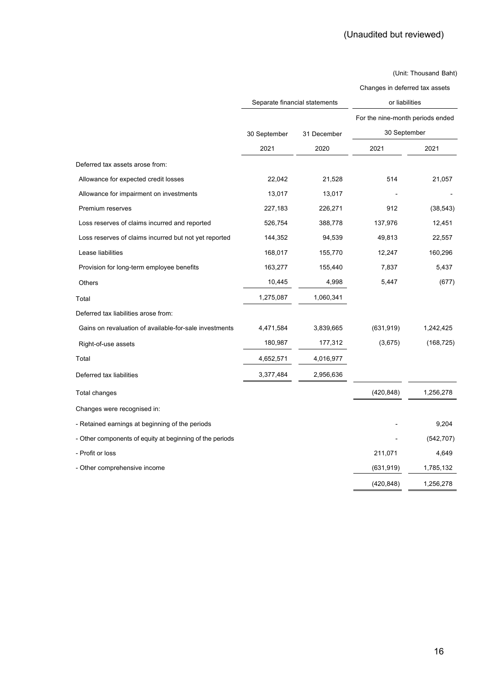| Changes in deferred tax assets |  |  |  |  |  |
|--------------------------------|--|--|--|--|--|
|--------------------------------|--|--|--|--|--|

|                                                          | Separate financial statements |             |                                  | or liabilities |  |  |
|----------------------------------------------------------|-------------------------------|-------------|----------------------------------|----------------|--|--|
|                                                          |                               | 31 December | For the nine-month periods ended |                |  |  |
|                                                          | 30 September                  |             | 30 September                     |                |  |  |
|                                                          | 2021                          | 2020        | 2021                             | 2021           |  |  |
| Deferred tax assets arose from:                          |                               |             |                                  |                |  |  |
| Allowance for expected credit losses                     | 22,042                        | 21,528      | 514                              | 21,057         |  |  |
| Allowance for impairment on investments                  | 13,017                        | 13,017      |                                  |                |  |  |
| Premium reserves                                         | 227,183                       | 226,271     | 912                              | (38, 543)      |  |  |
| Loss reserves of claims incurred and reported            | 526,754                       | 388,778     | 137,976                          | 12,451         |  |  |
| Loss reserves of claims incurred but not yet reported    | 144,352                       | 94,539      | 49,813                           | 22,557         |  |  |
| Lease liabilities                                        | 168,017                       | 155,770     | 12,247                           | 160,296        |  |  |
| Provision for long-term employee benefits                | 163,277                       | 155,440     | 7,837                            | 5,437          |  |  |
| Others                                                   | 10,445                        | 4,998       | 5,447                            | (677)          |  |  |
| Total                                                    | 1,275,087                     | 1,060,341   |                                  |                |  |  |
| Deferred tax liabilities arose from:                     |                               |             |                                  |                |  |  |
| Gains on revaluation of available-for-sale investments   | 4,471,584                     | 3,839,665   | (631, 919)                       | 1,242,425      |  |  |
| Right-of-use assets                                      | 180,987                       | 177,312     | (3,675)                          | (168, 725)     |  |  |
| Total                                                    | 4,652,571                     | 4,016,977   |                                  |                |  |  |
| Deferred tax liabilities                                 | 3,377,484                     | 2,956,636   |                                  |                |  |  |
| Total changes                                            |                               |             | (420, 848)                       | 1,256,278      |  |  |
| Changes were recognised in:                              |                               |             |                                  |                |  |  |
| - Retained earnings at beginning of the periods          |                               |             |                                  | 9,204          |  |  |
| - Other components of equity at beginning of the periods |                               |             |                                  | (542, 707)     |  |  |
| - Profit or loss                                         |                               |             | 211,071                          | 4,649          |  |  |
| - Other comprehensive income                             |                               |             | (631,919)                        | 1,785,132      |  |  |
|                                                          |                               |             | (420, 848)                       | 1,256,278      |  |  |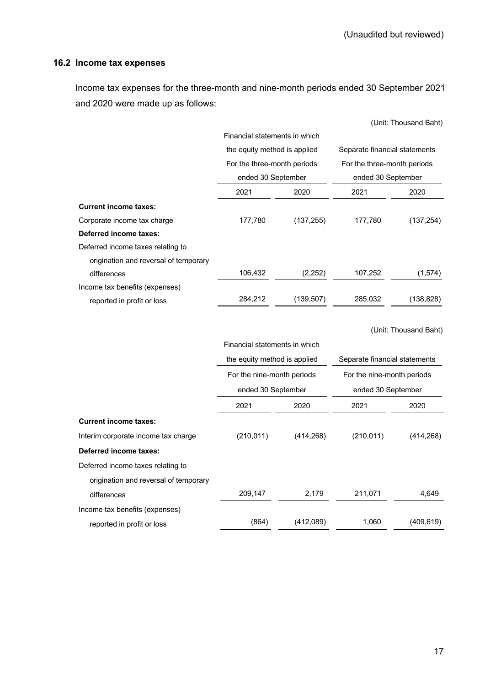# **16.2 Income tax expenses**

Income tax expenses for the three-month and nine-month periods ended 30 September 2021 and 2020 were made up as follows:

|                                       |                               |            |                               | (Unit: Thousand Baht) |  |
|---------------------------------------|-------------------------------|------------|-------------------------------|-----------------------|--|
|                                       | Financial statements in which |            |                               |                       |  |
|                                       | the equity method is applied  |            | Separate financial statements |                       |  |
|                                       | For the three-month periods   |            | For the three-month periods   |                       |  |
|                                       | ended 30 September            |            | ended 30 September            |                       |  |
|                                       | 2021                          | 2020       | 2021                          | 2020                  |  |
| <b>Current income taxes:</b>          |                               |            |                               |                       |  |
| Corporate income tax charge           | 177,780                       | (137, 255) | 177,780                       | (137, 254)            |  |
| Deferred income taxes:                |                               |            |                               |                       |  |
| Deferred income taxes relating to     |                               |            |                               |                       |  |
| origination and reversal of temporary |                               |            |                               |                       |  |
| differences                           | 106,432                       | (2,252)    | 107,252                       | (1, 574)              |  |
| Income tax benefits (expenses)        |                               |            |                               |                       |  |
| reported in profit or loss            | 284,212                       | (139, 507) | 285,032                       | (138, 828)            |  |
|                                       |                               |            |                               |                       |  |
|                                       |                               |            |                               | (Unit: Thousand Baht) |  |
|                                       | Financial statements in which |            |                               |                       |  |
|                                       | the equity method is applied  |            | Separate financial statements |                       |  |
|                                       | For the nine-month periods    |            | For the nine-month periods    |                       |  |
|                                       | ended 30 September            |            | ended 30 September            |                       |  |
|                                       | 2021                          | 2020       | 2021                          | 2020                  |  |
| <b>Current income taxes:</b>          |                               |            |                               |                       |  |
| Interim corporate income tax charge   | (210, 011)                    | (414, 268) | (210, 011)                    | (414, 268)            |  |
| <b>Deferred income taxes:</b>         |                               |            |                               |                       |  |
| Deferred income taxes relating to     |                               |            |                               |                       |  |
| origination and reversal of temporary |                               |            |                               |                       |  |
| differences                           | 209,147                       | 2,179      | 211,071                       | 4,649                 |  |
| Income tax benefits (expenses)        |                               |            |                               |                       |  |
| reported in profit or loss            | (864)                         | (412,089)  | 1,060                         | (409, 619)            |  |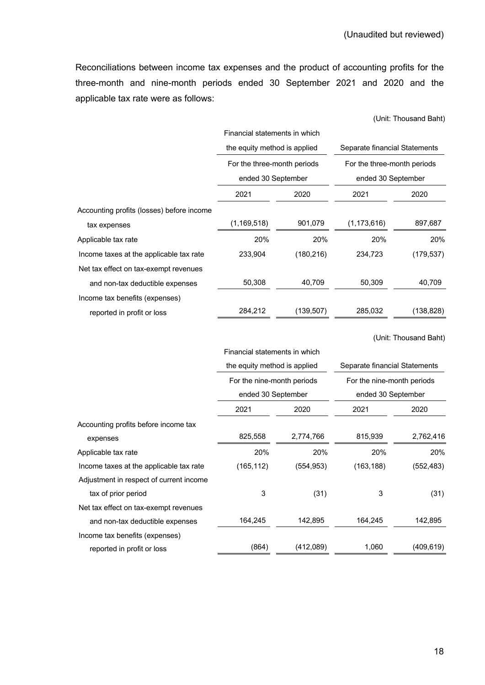Reconciliations between income tax expenses and the product of accounting profits for the three-month and nine-month periods ended 30 September 2021 and 2020 and the applicable tax rate were as follows:

|                                           | Financial statements in which |            |                                                                                    |            |  |
|-------------------------------------------|-------------------------------|------------|------------------------------------------------------------------------------------|------------|--|
|                                           | the equity method is applied  |            | Separate financial Statements<br>For the three-month periods<br>ended 30 September |            |  |
|                                           | For the three-month periods   |            |                                                                                    |            |  |
|                                           | ended 30 September            |            |                                                                                    |            |  |
|                                           | 2021                          | 2020       | 2021                                                                               | 2020       |  |
| Accounting profits (losses) before income |                               |            |                                                                                    |            |  |
| tax expenses                              | (1, 169, 518)                 | 901,079    | (1, 173, 616)                                                                      | 897,687    |  |
| Applicable tax rate                       | 20%                           | 20%        | 20%                                                                                | 20%        |  |
| Income taxes at the applicable tax rate   | 233,904                       | (180, 216) | 234,723                                                                            | (179, 537) |  |
| Net tax effect on tax-exempt revenues     |                               |            |                                                                                    |            |  |
| and non-tax deductible expenses           | 50,308                        | 40,709     | 50,309                                                                             | 40,709     |  |
| Income tax benefits (expenses)            |                               |            |                                                                                    |            |  |
| reported in profit or loss                | 284,212                       | (139, 507) | 285,032                                                                            | (138, 828) |  |

(Unit: Thousand Baht)

(Unit: Thousand Baht)

|                                         | Financial statements in which |            |                               |            |  |
|-----------------------------------------|-------------------------------|------------|-------------------------------|------------|--|
|                                         | the equity method is applied  |            | Separate financial Statements |            |  |
|                                         | For the nine-month periods    |            | For the nine-month periods    |            |  |
|                                         | ended 30 September            |            | ended 30 September            |            |  |
|                                         | 2021                          | 2020       | 2021                          | 2020       |  |
| Accounting profits before income tax    |                               |            |                               |            |  |
| expenses                                | 825,558                       | 2,774,766  | 815,939                       | 2,762,416  |  |
| Applicable tax rate                     | 20%                           | 20%        | 20%                           | 20%        |  |
| Income taxes at the applicable tax rate | (165, 112)                    | (554, 953) | (163, 188)                    | (552, 483) |  |
| Adjustment in respect of current income |                               |            |                               |            |  |
| tax of prior period                     | 3                             | (31)       | 3                             | (31)       |  |
| Net tax effect on tax-exempt revenues   |                               |            |                               |            |  |
| and non-tax deductible expenses         | 164,245                       | 142,895    | 164,245                       | 142,895    |  |
| Income tax benefits (expenses)          |                               |            |                               |            |  |
| reported in profit or loss              | (864)                         | (412,089)  | 1,060                         | (409, 619) |  |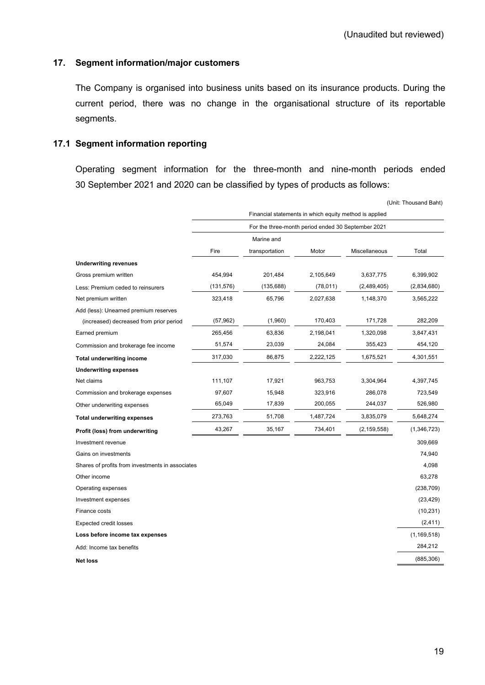## **17. Segment information/major customers**

The Company is organised into business units based on its insurance products. During the current period, there was no change in the organisational structure of its reportable segments.

#### **17.1 Segment information reporting**

Operating segment information for the three-month and nine-month periods ended 30 September 2021 and 2020 can be classified by types of products as follows:

|                                                  |                                                        |                |           |               | (Unit: Thousand Baht) |  |
|--------------------------------------------------|--------------------------------------------------------|----------------|-----------|---------------|-----------------------|--|
|                                                  | Financial statements in which equity method is applied |                |           |               |                       |  |
|                                                  | For the three-month period ended 30 September 2021     |                |           |               |                       |  |
|                                                  |                                                        | Marine and     |           |               |                       |  |
|                                                  | Fire                                                   | transportation | Motor     | Miscellaneous | Total                 |  |
| <b>Underwriting revenues</b>                     |                                                        |                |           |               |                       |  |
| Gross premium written                            | 454,994                                                | 201,484        | 2,105,649 | 3,637,775     | 6,399,902             |  |
| Less: Premium ceded to reinsurers                | (131, 576)                                             | (135, 688)     | (78, 011) | (2,489,405)   | (2,834,680)           |  |
| Net premium written                              | 323,418                                                | 65,796         | 2,027,638 | 1,148,370     | 3,565,222             |  |
| Add (less): Unearned premium reserves            |                                                        |                |           |               |                       |  |
| (increased) decreased from prior period          | (57, 962)                                              | (1,960)        | 170,403   | 171,728       | 282,209               |  |
| Earned premium                                   | 265,456                                                | 63,836         | 2,198,041 | 1,320,098     | 3,847,431             |  |
| Commission and brokerage fee income              | 51,574                                                 | 23,039         | 24,084    | 355,423       | 454,120               |  |
| <b>Total underwriting income</b>                 | 317,030                                                | 86,875         | 2,222,125 | 1,675,521     | 4,301,551             |  |
| <b>Underwriting expenses</b>                     |                                                        |                |           |               |                       |  |
| Net claims                                       | 111,107                                                | 17,921         | 963,753   | 3,304,964     | 4,397,745             |  |
| Commission and brokerage expenses                | 97,607                                                 | 15,948         | 323,916   | 286,078       | 723,549               |  |
| Other underwriting expenses                      | 65,049                                                 | 17,839         | 200,055   | 244,037       | 526,980               |  |
| <b>Total underwriting expenses</b>               | 273,763                                                | 51,708         | 1,487,724 | 3,835,079     | 5,648,274             |  |
| Profit (loss) from underwriting                  | 43,267                                                 | 35,167         | 734,401   | (2, 159, 558) | (1,346,723)           |  |
| Investment revenue                               |                                                        |                |           |               | 309,669               |  |
| Gains on investments                             |                                                        |                |           |               | 74,940                |  |
| Shares of profits from investments in associates |                                                        |                |           |               | 4,098                 |  |
| Other income                                     |                                                        |                |           |               | 63,278                |  |
| Operating expenses                               |                                                        |                |           |               | (238, 709)            |  |
| Investment expenses                              |                                                        |                |           |               | (23, 429)             |  |
| Finance costs                                    |                                                        |                |           |               | (10, 231)             |  |
| <b>Expected credit losses</b>                    |                                                        |                |           |               | (2, 411)              |  |
| Loss before income tax expenses                  |                                                        |                |           |               | (1, 169, 518)         |  |
| Add: Income tax benefits                         |                                                        |                |           |               | 284,212               |  |
| <b>Net loss</b>                                  |                                                        |                |           |               | (885, 306)            |  |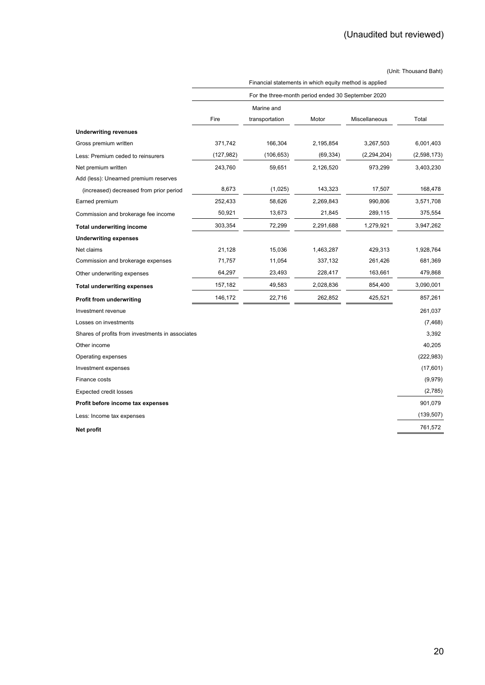|                                                  | Financial statements in which equity method is applied<br>For the three-month period ended 30 September 2020 |                |           |               |             |  |
|--------------------------------------------------|--------------------------------------------------------------------------------------------------------------|----------------|-----------|---------------|-------------|--|
|                                                  |                                                                                                              |                |           |               |             |  |
|                                                  |                                                                                                              | Marine and     |           |               |             |  |
|                                                  | Fire                                                                                                         | transportation | Motor     | Miscellaneous | Total       |  |
| <b>Underwriting revenues</b>                     |                                                                                                              |                |           |               |             |  |
| Gross premium written                            | 371,742                                                                                                      | 166,304        | 2,195,854 | 3,267,503     | 6,001,403   |  |
| Less: Premium ceded to reinsurers                | (127, 982)                                                                                                   | (106, 653)     | (69, 334) | (2,294,204)   | (2,598,173) |  |
| Net premium written                              | 243,760                                                                                                      | 59,651         | 2,126,520 | 973,299       | 3,403,230   |  |
| Add (less): Unearned premium reserves            |                                                                                                              |                |           |               |             |  |
| (increased) decreased from prior period          | 8,673                                                                                                        | (1,025)        | 143,323   | 17,507        | 168,478     |  |
| Earned premium                                   | 252,433                                                                                                      | 58,626         | 2,269,843 | 990,806       | 3,571,708   |  |
| Commission and brokerage fee income              | 50,921                                                                                                       | 13,673         | 21,845    | 289,115       | 375,554     |  |
| <b>Total underwriting income</b>                 | 303,354                                                                                                      | 72,299         | 2,291,688 | 1,279,921     | 3,947,262   |  |
| <b>Underwriting expenses</b>                     |                                                                                                              |                |           |               |             |  |
| Net claims                                       | 21,128                                                                                                       | 15,036         | 1,463,287 | 429,313       | 1,928,764   |  |
| Commission and brokerage expenses                | 71,757                                                                                                       | 11,054         | 337,132   | 261,426       | 681,369     |  |
| Other underwriting expenses                      | 64,297                                                                                                       | 23,493         | 228,417   | 163,661       | 479,868     |  |
| <b>Total underwriting expenses</b>               | 157,182                                                                                                      | 49,583         | 2,028,836 | 854,400       | 3,090,001   |  |
| Profit from underwriting                         | 146,172                                                                                                      | 22,716         | 262,852   | 425,521       | 857,261     |  |
| Investment revenue                               |                                                                                                              |                |           |               | 261,037     |  |
| Losses on investments                            |                                                                                                              |                |           |               | (7, 468)    |  |
| Shares of profits from investments in associates |                                                                                                              |                |           |               | 3,392       |  |
| Other income                                     |                                                                                                              |                |           |               | 40,205      |  |
| Operating expenses                               |                                                                                                              |                |           |               | (222, 983)  |  |
| Investment expenses                              |                                                                                                              |                |           |               | (17,601)    |  |
| Finance costs                                    |                                                                                                              |                |           |               | (9,979)     |  |
| <b>Expected credit losses</b>                    |                                                                                                              |                |           |               | (2,785)     |  |
| Profit before income tax expenses                |                                                                                                              |                |           |               | 901,079     |  |
| Less: Income tax expenses                        |                                                                                                              |                |           |               | (139, 507)  |  |
| Net profit                                       |                                                                                                              |                |           |               | 761,572     |  |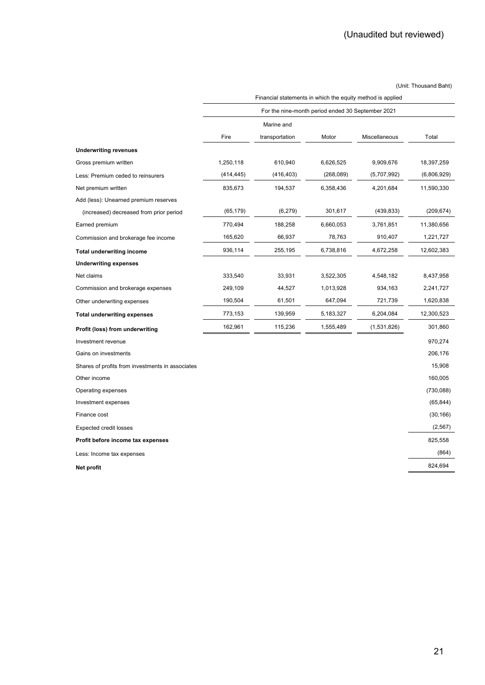|                                                  | Fire       | For the nine-month period ended 30 September 2021<br>Marine and<br>transportation |            |               |             |
|--------------------------------------------------|------------|-----------------------------------------------------------------------------------|------------|---------------|-------------|
|                                                  |            |                                                                                   |            |               |             |
|                                                  |            |                                                                                   |            |               |             |
|                                                  |            |                                                                                   | Motor      | Miscellaneous | Total       |
| <b>Underwriting revenues</b>                     |            |                                                                                   |            |               |             |
| Gross premium written                            | 1,250,118  | 610,940                                                                           | 6,626,525  | 9,909,676     | 18,397,259  |
| Less: Premium ceded to reinsurers                | (414, 445) | (416, 403)                                                                        | (268, 089) | (5,707,992)   | (6,806,929) |
| Net premium written                              | 835,673    | 194,537                                                                           | 6,358,436  | 4,201,684     | 11,590,330  |
| Add (less): Unearned premium reserves            |            |                                                                                   |            |               |             |
| (increased) decreased from prior period          | (65, 179)  | (6,279)                                                                           | 301,617    | (439, 833)    | (209, 674)  |
| Earned premium                                   | 770,494    | 188,258                                                                           | 6,660,053  | 3,761,851     | 11,380,656  |
| Commission and brokerage fee income              | 165,620    | 66,937                                                                            | 78,763     | 910,407       | 1,221,727   |
| <b>Total underwriting income</b>                 | 936,114    | 255,195                                                                           | 6,738,816  | 4,672,258     | 12,602,383  |
| <b>Underwriting expenses</b>                     |            |                                                                                   |            |               |             |
| Net claims                                       | 333,540    | 33,931                                                                            | 3,522,305  | 4,548,182     | 8,437,958   |
| Commission and brokerage expenses                | 249,109    | 44,527                                                                            | 1,013,928  | 934,163       | 2,241,727   |
| Other underwriting expenses                      | 190,504    | 61,501                                                                            | 647,094    | 721,739       | 1,620,838   |
| <b>Total underwriting expenses</b>               | 773,153    | 139,959                                                                           | 5,183,327  | 6,204,084     | 12,300,523  |
| Profit (loss) from underwriting                  | 162,961    | 115,236                                                                           | 1,555,489  | (1,531,826)   | 301,860     |
| Investment revenue                               |            |                                                                                   |            |               | 970,274     |
| Gains on investments                             |            |                                                                                   |            |               | 206,176     |
| Shares of profits from investments in associates |            |                                                                                   |            |               | 15,908      |
| Other income                                     |            |                                                                                   |            |               | 160,005     |
| Operating expenses                               |            |                                                                                   |            |               | (730,088)   |
| Investment expenses                              |            |                                                                                   |            |               | (65, 844)   |
| Finance cost                                     |            |                                                                                   |            |               | (30, 166)   |
| <b>Expected credit losses</b>                    |            |                                                                                   |            |               | (2, 567)    |
| Profit before income tax expenses                |            |                                                                                   |            |               | 825,558     |
| Less: Income tax expenses                        |            |                                                                                   |            |               | (864)       |
| Net profit                                       |            |                                                                                   |            |               | 824,694     |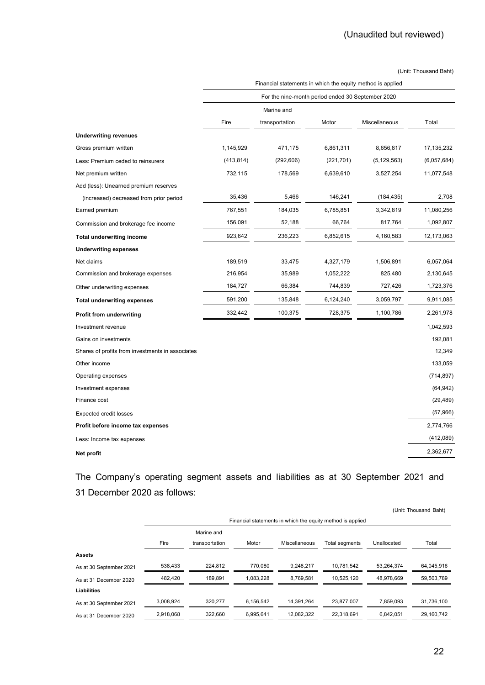|                                                  | Financial statements in which the equity method is applied |                |            |               |              |  |
|--------------------------------------------------|------------------------------------------------------------|----------------|------------|---------------|--------------|--|
|                                                  | For the nine-month period ended 30 September 2020          |                |            |               |              |  |
|                                                  |                                                            | Marine and     |            |               |              |  |
|                                                  | Fire                                                       | transportation | Motor      | Miscellaneous | Total        |  |
| <b>Underwriting revenues</b>                     |                                                            |                |            |               |              |  |
| Gross premium written                            | 1,145,929                                                  | 471,175        | 6,861,311  | 8,656,817     | 17, 135, 232 |  |
| Less: Premium ceded to reinsurers                | (413, 814)                                                 | (292, 606)     | (221, 701) | (5, 129, 563) | (6,057,684)  |  |
| Net premium written                              | 732,115                                                    | 178,569        | 6,639,610  | 3,527,254     | 11,077,548   |  |
| Add (less): Unearned premium reserves            |                                                            |                |            |               |              |  |
| (increased) decreased from prior period          | 35,436                                                     | 5,466          | 146,241    | (184, 435)    | 2,708        |  |
| Earned premium                                   | 767,551                                                    | 184,035        | 6,785,851  | 3,342,819     | 11,080,256   |  |
| Commission and brokerage fee income              | 156,091                                                    | 52,188         | 66,764     | 817,764       | 1,092,807    |  |
| <b>Total underwriting income</b>                 | 923,642                                                    | 236,223        | 6,852,615  | 4,160,583     | 12,173,063   |  |
| <b>Underwriting expenses</b>                     |                                                            |                |            |               |              |  |
| Net claims                                       | 189,519                                                    | 33,475         | 4,327,179  | 1,506,891     | 6,057,064    |  |
| Commission and brokerage expenses                | 216,954                                                    | 35,989         | 1,052,222  | 825,480       | 2,130,645    |  |
| Other underwriting expenses                      | 184,727                                                    | 66,384         | 744,839    | 727,426       | 1,723,376    |  |
| <b>Total underwriting expenses</b>               | 591,200                                                    | 135,848        | 6,124,240  | 3,059,797     | 9,911,085    |  |
| <b>Profit from underwriting</b>                  | 332,442                                                    | 100,375        | 728,375    | 1,100,786     | 2,261,978    |  |
| Investment revenue                               |                                                            |                |            |               | 1,042,593    |  |
| Gains on investments                             |                                                            |                |            |               | 192,081      |  |
| Shares of profits from investments in associates |                                                            |                |            |               | 12,349       |  |
| Other income                                     |                                                            |                |            |               | 133,059      |  |
| Operating expenses                               |                                                            |                |            |               | (714, 897)   |  |
| Investment expenses                              |                                                            |                |            |               | (64, 942)    |  |
| Finance cost                                     |                                                            |                |            |               | (29, 489)    |  |
| <b>Expected credit losses</b>                    |                                                            |                |            |               | (57,966)     |  |
| Profit before income tax expenses                |                                                            |                |            |               | 2,774,766    |  |
| Less: Income tax expenses                        |                                                            |                |            |               | (412,089)    |  |
| Net profit                                       |                                                            |                |            |               | 2,362,677    |  |

The Company's operating segment assets and liabilities as at 30 September 2021 and 31 December 2020 as follows:

|                         | (Unit: Thousand Baht) |                |           |               |                                                            |             |            |
|-------------------------|-----------------------|----------------|-----------|---------------|------------------------------------------------------------|-------------|------------|
|                         |                       |                |           |               | Financial statements in which the equity method is applied |             |            |
|                         |                       | Marine and     |           |               |                                                            |             |            |
|                         | Fire                  | transportation | Motor     | Miscellaneous | Total segments                                             | Unallocated | Total      |
| <b>Assets</b>           |                       |                |           |               |                                                            |             |            |
| As at 30 September 2021 | 538.433               | 224.812        | 770.080   | 9.248.217     | 10.781.542                                                 | 53.264.374  | 64.045.916 |
| As at 31 December 2020  | 482.420               | 189.891        | 1.083.228 | 8,769,581     | 10.525.120                                                 | 48.978.669  | 59.503.789 |
| <b>Liabilities</b>      |                       |                |           |               |                                                            |             |            |
| As at 30 September 2021 | 3,008,924             | 320,277        | 6,156,542 | 14,391,264    | 23,877,007                                                 | 7,859,093   | 31,736,100 |
| As at 31 December 2020  | 2,918,068             | 322,660        | 6,995,641 | 12,082,322    | 22,318,691                                                 | 6.842.051   | 29,160,742 |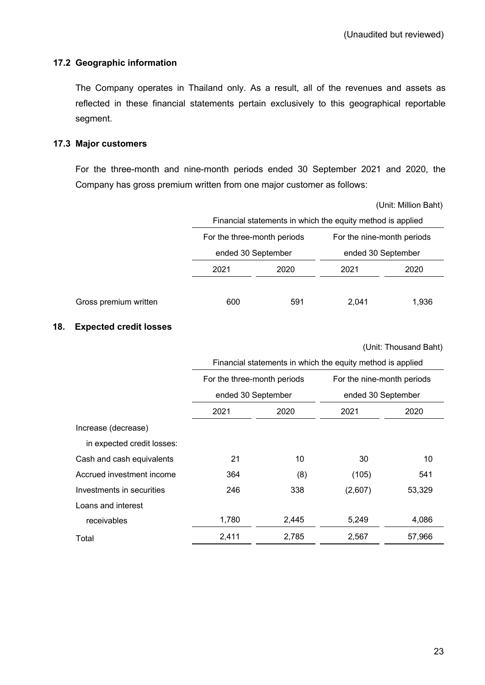# **17.2 Geographic information**

The Company operates in Thailand only. As a result, all of the revenues and assets as reflected in these financial statements pertain exclusively to this geographical reportable segment.

### **17.3 Major customers**

For the three-month and nine-month periods ended 30 September 2021 and 2020, the Company has gross premium written from one major customer as follows:

(Unit: Million Baht)

|                       |                             | Financial statements in which the equity method is applied |                            |       |  |  |  |
|-----------------------|-----------------------------|------------------------------------------------------------|----------------------------|-------|--|--|--|
|                       | For the three-month periods |                                                            | For the nine-month periods |       |  |  |  |
|                       | ended 30 September          |                                                            | ended 30 September         |       |  |  |  |
|                       | 2021                        | 2020                                                       |                            | 2020  |  |  |  |
|                       |                             |                                                            |                            |       |  |  |  |
| Gross premium written | 600                         | 591                                                        | 2.041                      | 1,936 |  |  |  |

### **18. Expected credit losses**

(Unit: Thousand Baht)

|                            | Financial statements in which the equity method is applied |       |                            |        |  |  |
|----------------------------|------------------------------------------------------------|-------|----------------------------|--------|--|--|
|                            | For the three-month periods                                |       | For the nine-month periods |        |  |  |
|                            | ended 30 September                                         |       | ended 30 September         |        |  |  |
|                            | 2021<br>2020                                               |       | 2021                       | 2020   |  |  |
| Increase (decrease)        |                                                            |       |                            |        |  |  |
| in expected credit losses: |                                                            |       |                            |        |  |  |
| Cash and cash equivalents  | 21                                                         | 10    | 30                         | 10     |  |  |
| Accrued investment income  | 364                                                        | (8)   | (105)                      | 541    |  |  |
| Investments in securities  | 246                                                        | 338   | (2,607)                    | 53,329 |  |  |
| Loans and interest         |                                                            |       |                            |        |  |  |
| receivables                | 1,780                                                      | 2,445 | 5,249                      | 4,086  |  |  |
| Total                      | 2,411                                                      | 2,785 | 2,567                      | 57,966 |  |  |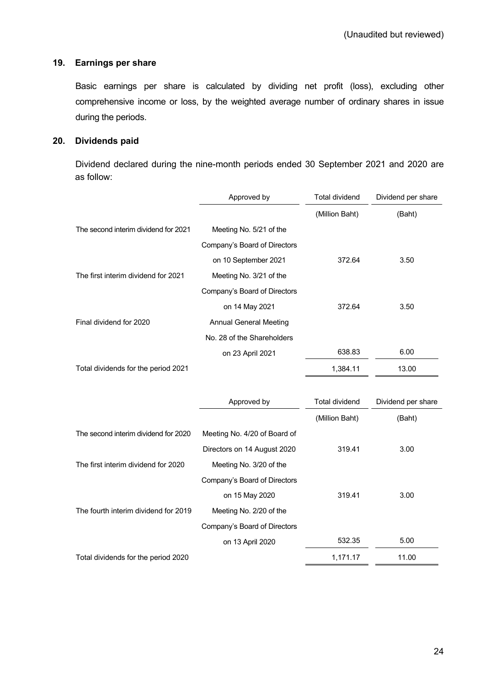### **19. Earnings per share**

Basic earnings per share is calculated by dividing net profit (loss), excluding other comprehensive income or loss, by the weighted average number of ordinary shares in issue during the periods.

# **20. Dividends paid**

Dividend declared during the nine-month periods ended 30 September 2021 and 2020 are as follow:

|                                      | Approved by                   | <b>Total dividend</b> | Dividend per share |  |
|--------------------------------------|-------------------------------|-----------------------|--------------------|--|
|                                      |                               | (Million Baht)        | (Baht)             |  |
| The second interim dividend for 2021 | Meeting No. 5/21 of the       |                       |                    |  |
|                                      | Company's Board of Directors  |                       |                    |  |
|                                      | on 10 September 2021          | 372.64                | 3.50               |  |
| The first interim dividend for 2021  | Meeting No. 3/21 of the       |                       |                    |  |
|                                      | Company's Board of Directors  |                       |                    |  |
|                                      | on 14 May 2021                | 372.64                | 3.50               |  |
| Final dividend for 2020              | <b>Annual General Meeting</b> |                       |                    |  |
|                                      | No. 28 of the Shareholders    |                       |                    |  |
|                                      | on 23 April 2021              | 638.83                | 6.00               |  |
| Total dividends for the period 2021  |                               | 1,384.11              | 13.00              |  |
|                                      |                               |                       |                    |  |
|                                      | Approved by                   | <b>Total dividend</b> | Dividend per share |  |
|                                      |                               | (Million Baht)        | (Baht)             |  |
| The second interim dividend for 2020 | Meeting No. 4/20 of Board of  |                       |                    |  |
|                                      | Directors on 14 August 2020   | 319.41                | 3.00               |  |
| The first interim dividend for 2020  | Meeting No. 3/20 of the       |                       |                    |  |
|                                      | Company's Board of Directors  |                       |                    |  |
|                                      | on 15 May 2020                | 319.41                | 3.00               |  |
| The fourth interim dividend for 2019 | Meeting No. 2/20 of the       |                       |                    |  |
|                                      | Company's Board of Directors  |                       |                    |  |
|                                      | on 13 April 2020              | 532.35                | 5.00               |  |
| Total dividends for the period 2020  |                               | 1,171.17              | 11.00              |  |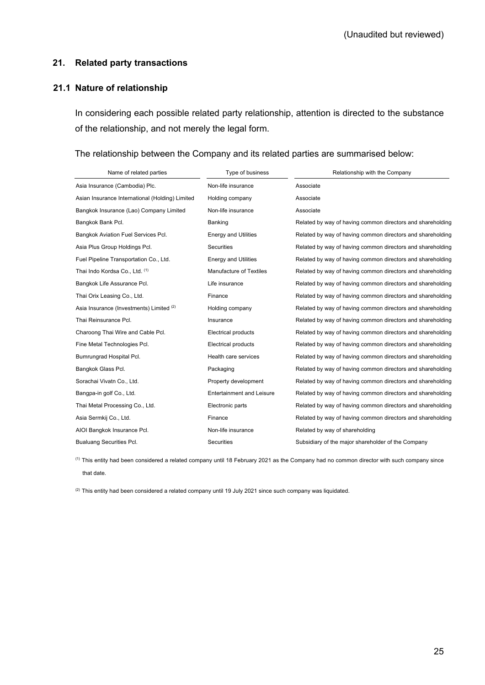#### **21. Related party transactions**

#### **21.1 Nature of relationship**

In considering each possible related party relationship, attention is directed to the substance of the relationship, and not merely the legal form.

#### The relationship between the Company and its related parties are summarised below:

| Name of related parties                         | Type of business                 | Relationship with the Company                              |
|-------------------------------------------------|----------------------------------|------------------------------------------------------------|
| Asia Insurance (Cambodia) Plc.                  | Non-life insurance               | Associate                                                  |
| Asian Insurance International (Holding) Limited | Holding company                  | Associate                                                  |
| Bangkok Insurance (Lao) Company Limited         | Non-life insurance               | Associate                                                  |
| Bangkok Bank Pcl.                               | Banking                          | Related by way of having common directors and shareholding |
| Bangkok Aviation Fuel Services Pcl.             | <b>Energy and Utilities</b>      | Related by way of having common directors and shareholding |
| Asia Plus Group Holdings Pcl.                   | <b>Securities</b>                | Related by way of having common directors and shareholding |
| Fuel Pipeline Transportation Co., Ltd.          | <b>Energy and Utilities</b>      | Related by way of having common directors and shareholding |
| Thai Indo Kordsa Co., Ltd. (1)                  | Manufacture of Textiles          | Related by way of having common directors and shareholding |
| Bangkok Life Assurance Pcl.                     | Life insurance                   | Related by way of having common directors and shareholding |
| Thai Orix Leasing Co., Ltd.                     | Finance                          | Related by way of having common directors and shareholding |
| Asia Insurance (Investments) Limited (2)        | Holding company                  | Related by way of having common directors and shareholding |
| Thai Reinsurance Pcl.                           | Insurance                        | Related by way of having common directors and shareholding |
| Charoong Thai Wire and Cable Pcl.               | <b>Electrical products</b>       | Related by way of having common directors and shareholding |
| Fine Metal Technologies Pcl.                    | <b>Electrical products</b>       | Related by way of having common directors and shareholding |
| Bumrungrad Hospital Pcl.                        | Health care services             | Related by way of having common directors and shareholding |
| Bangkok Glass Pcl.                              | Packaging                        | Related by way of having common directors and shareholding |
| Sorachai Vivatn Co., Ltd.                       | Property development             | Related by way of having common directors and shareholding |
| Bangpa-in golf Co., Ltd.                        | <b>Entertainment and Leisure</b> | Related by way of having common directors and shareholding |
| Thai Metal Processing Co., Ltd.                 | Electronic parts                 | Related by way of having common directors and shareholding |
| Asia Sermkij Co., Ltd.                          | Finance                          | Related by way of having common directors and shareholding |
| AIOI Bangkok Insurance Pcl.                     | Non-life insurance               | Related by way of shareholding                             |
| <b>Bualuang Securities Pcl.</b>                 | Securities                       | Subsidiary of the major shareholder of the Company         |

(1) This entity had been considered a related company until 18 February 2021 as the Company had no common director with such company since that date.

 $(2)$  This entity had been considered a related company until 19 July 2021 since such company was liquidated.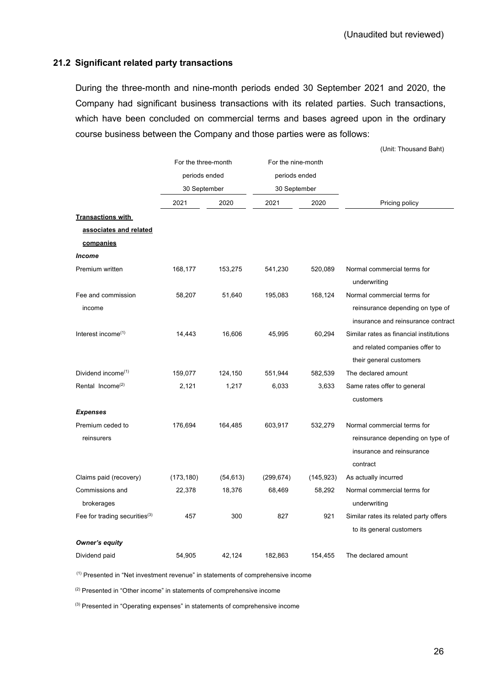### **21.2 Significant related party transactions**

During the three-month and nine-month periods ended 30 September 2021 and 2020, the Company had significant business transactions with its related parties. Such transactions, which have been concluded on commercial terms and bases agreed upon in the ordinary course business between the Company and those parties were as follows:

|                                           |                     |           |                    |            | (Unit: Thousand Baht)                       |
|-------------------------------------------|---------------------|-----------|--------------------|------------|---------------------------------------------|
|                                           | For the three-month |           | For the nine-month |            |                                             |
|                                           | periods ended       |           | periods ended      |            |                                             |
|                                           | 30 September        |           | 30 September       |            |                                             |
|                                           | 2021                | 2020      | 2021               | 2020       | Pricing policy                              |
| <b>Transactions with</b>                  |                     |           |                    |            |                                             |
| associates and related                    |                     |           |                    |            |                                             |
| companies                                 |                     |           |                    |            |                                             |
| <b>Income</b>                             |                     |           |                    |            |                                             |
| Premium written                           | 168,177             | 153,275   | 541,230            | 520,089    | Normal commercial terms for<br>underwriting |
| Fee and commission                        | 58,207              | 51,640    | 195,083            | 168,124    | Normal commercial terms for                 |
| income                                    |                     |           |                    |            | reinsurance depending on type of            |
|                                           |                     |           |                    |            | insurance and reinsurance contract          |
| Interest income <sup>(1)</sup>            | 14,443              | 16,606    | 45,995             | 60,294     | Similar rates as financial institutions     |
|                                           |                     |           |                    |            | and related companies offer to              |
|                                           |                     |           |                    |            | their general customers                     |
| Dividend income <sup>(1)</sup>            | 159,077             | 124,150   | 551,944            | 582,539    | The declared amount                         |
| Rental Income <sup>(2)</sup>              | 2,121               | 1,217     | 6,033              | 3,633      | Same rates offer to general                 |
|                                           |                     |           |                    |            | customers                                   |
| <b>Expenses</b>                           |                     |           |                    |            |                                             |
| Premium ceded to                          | 176,694             | 164,485   | 603,917            | 532,279    | Normal commercial terms for                 |
| reinsurers                                |                     |           |                    |            | reinsurance depending on type of            |
|                                           |                     |           |                    |            | insurance and reinsurance<br>contract       |
| Claims paid (recovery)                    | (173, 180)          | (54, 613) | (299, 674)         | (145, 923) | As actually incurred                        |
| Commissions and                           | 22,378              | 18,376    | 68,469             | 58,292     | Normal commercial terms for                 |
| brokerages                                |                     |           |                    |            | underwriting                                |
| Fee for trading securities <sup>(3)</sup> | 457                 | 300       | 827                | 921        | Similar rates its related party offers      |
|                                           |                     |           |                    |            | to its general customers                    |
| Owner's equity                            |                     |           |                    |            |                                             |
| Dividend paid                             | 54,905              | 42,124    | 182,863            | 154,455    | The declared amount                         |

(1) Presented in "Net investment revenue" in statements of comprehensive income

(2) Presented in "Other income" in statements of comprehensive income

(3) Presented in "Operating expenses" in statements of comprehensive income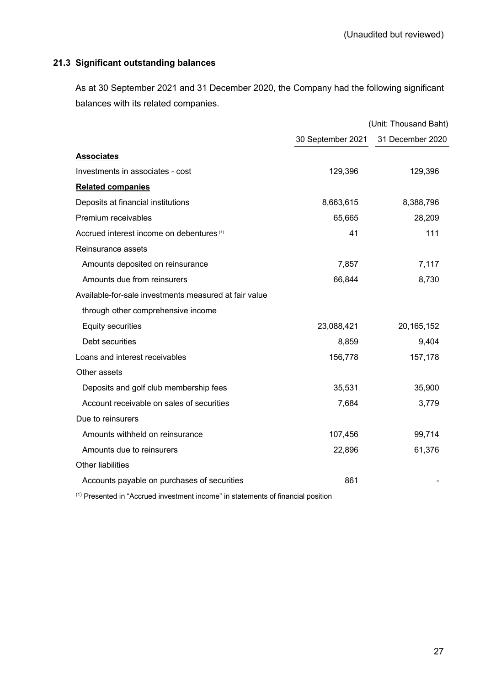# **21.3 Significant outstanding balances**

As at 30 September 2021 and 31 December 2020, the Company had the following significant balances with its related companies.

|                                                       | (Unit: Thousand Baht) |                  |  |
|-------------------------------------------------------|-----------------------|------------------|--|
|                                                       | 30 September 2021     | 31 December 2020 |  |
| <b>Associates</b>                                     |                       |                  |  |
| Investments in associates - cost                      | 129,396               | 129,396          |  |
| <b>Related companies</b>                              |                       |                  |  |
| Deposits at financial institutions                    | 8,663,615             | 8,388,796        |  |
| Premium receivables                                   | 65,665                | 28,209           |  |
| Accrued interest income on debentures <sup>(1)</sup>  | 41                    | 111              |  |
| Reinsurance assets                                    |                       |                  |  |
| Amounts deposited on reinsurance                      | 7,857                 | 7,117            |  |
| Amounts due from reinsurers                           | 66,844                | 8,730            |  |
| Available-for-sale investments measured at fair value |                       |                  |  |
| through other comprehensive income                    |                       |                  |  |
| <b>Equity securities</b>                              | 23,088,421            | 20, 165, 152     |  |
| Debt securities                                       | 8,859                 | 9,404            |  |
| Loans and interest receivables                        | 156,778               | 157,178          |  |
| Other assets                                          |                       |                  |  |
| Deposits and golf club membership fees                | 35,531                | 35,900           |  |
| Account receivable on sales of securities             | 7,684                 | 3,779            |  |
| Due to reinsurers                                     |                       |                  |  |
| Amounts withheld on reinsurance                       | 107,456               | 99,714           |  |
| Amounts due to reinsurers                             | 22,896                | 61,376           |  |
| <b>Other liabilities</b>                              |                       |                  |  |
| Accounts payable on purchases of securities           | 861                   |                  |  |
|                                                       |                       |                  |  |

(1) Presented in "Accrued investment income" in statements of financial position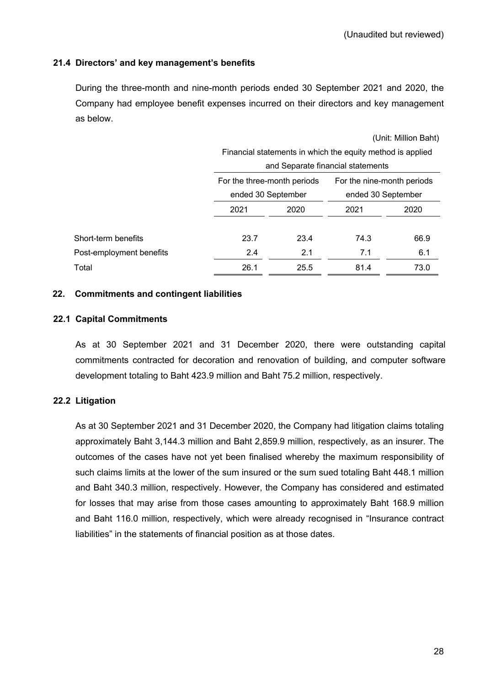# **21.4 Directors' and key management's benefits**

During the three-month and nine-month periods ended 30 September 2021 and 2020, the Company had employee benefit expenses incurred on their directors and key management as below.

|                          |                                                            |      |                            | (Unit: Million Baht) |  |
|--------------------------|------------------------------------------------------------|------|----------------------------|----------------------|--|
|                          | Financial statements in which the equity method is applied |      |                            |                      |  |
|                          | and Separate financial statements                          |      |                            |                      |  |
|                          | For the three-month periods                                |      | For the nine-month periods |                      |  |
|                          | ended 30 September                                         |      | ended 30 September         |                      |  |
|                          | 2021                                                       | 2020 | 2021                       | 2020                 |  |
| Short-term benefits      | 23.7                                                       | 23.4 | 74.3                       | 66.9                 |  |
| Post-employment benefits | 2.4                                                        | 2.1  | 7.1                        | 6.1                  |  |
| Total                    | 26.1                                                       | 25.5 | 81.4                       | 73.0                 |  |

#### **22. Commitments and contingent liabilities**

#### **22.1 Capital Commitments**

As at 30 September 2021 and 31 December 2020, there were outstanding capital commitments contracted for decoration and renovation of building, and computer software development totaling to Baht 423.9 million and Baht 75.2 million, respectively.

#### **22.2 Litigation**

As at 30 September 2021 and 31 December 2020, the Company had litigation claims totaling approximately Baht 3,144.3 million and Baht 2,859.9 million, respectively, as an insurer. The outcomes of the cases have not yet been finalised whereby the maximum responsibility of such claims limits at the lower of the sum insured or the sum sued totaling Baht 448.1 million and Baht 340.3 million, respectively. However, the Company has considered and estimated for losses that may arise from those cases amounting to approximately Baht 168.9 million and Baht 116.0 million, respectively, which were already recognised in "Insurance contract liabilities" in the statements of financial position as at those dates.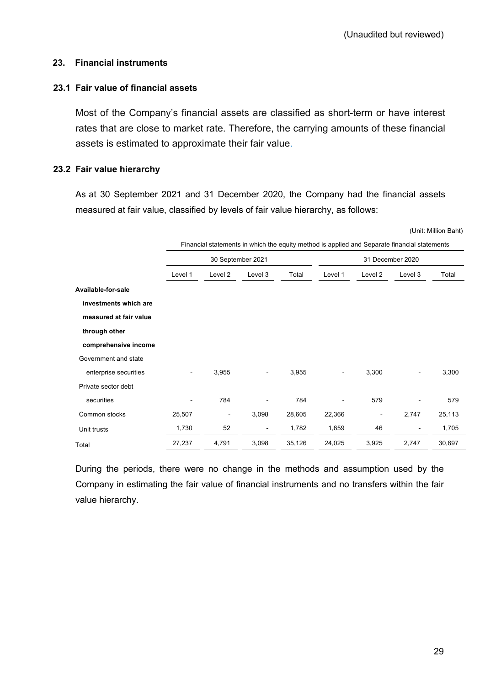# **23. Financial instruments**

# **23.1 Fair value of financial assets**

Most of the Company's financial assets are classified as short-term or have interest rates that are close to market rate. Therefore, the carrying amounts of these financial assets is estimated to approximate their fair value.

# **23.2 Fair value hierarchy**

As at 30 September 2021 and 31 December 2020, the Company had the financial assets measured at fair value, classified by levels of fair value hierarchy, as follows:

(Unit: Million Baht)

|                        | Financial statements in which the equity method is applied and Separate financial statements |                          |                          |                  |                          |                          |                          |        |
|------------------------|----------------------------------------------------------------------------------------------|--------------------------|--------------------------|------------------|--------------------------|--------------------------|--------------------------|--------|
|                        | 30 September 2021                                                                            |                          |                          | 31 December 2020 |                          |                          |                          |        |
|                        | Level 1                                                                                      | Level 2                  | Level 3                  | Total            | Level 1                  | Level 2                  | Level 3                  | Total  |
| Available-for-sale     |                                                                                              |                          |                          |                  |                          |                          |                          |        |
| investments which are  |                                                                                              |                          |                          |                  |                          |                          |                          |        |
| measured at fair value |                                                                                              |                          |                          |                  |                          |                          |                          |        |
| through other          |                                                                                              |                          |                          |                  |                          |                          |                          |        |
| comprehensive income   |                                                                                              |                          |                          |                  |                          |                          |                          |        |
| Government and state   |                                                                                              |                          |                          |                  |                          |                          |                          |        |
| enterprise securities  | $\qquad \qquad \blacksquare$                                                                 | 3,955                    | $\overline{\phantom{a}}$ | 3,955            | $\overline{\phantom{a}}$ | 3,300                    | $\overline{\phantom{a}}$ | 3,300  |
| Private sector debt    |                                                                                              |                          |                          |                  |                          |                          |                          |        |
| securities             | $\overline{a}$                                                                               | 784                      | ٠                        | 784              |                          | 579                      |                          | 579    |
| Common stocks          | 25,507                                                                                       | $\overline{\phantom{a}}$ | 3,098                    | 28,605           | 22,366                   | $\overline{\phantom{a}}$ | 2,747                    | 25,113 |
| Unit trusts            | 1,730                                                                                        | 52                       | $\overline{\phantom{a}}$ | 1,782            | 1,659                    | 46                       | ٠                        | 1,705  |
| Total                  | 27,237                                                                                       | 4,791                    | 3,098                    | 35,126           | 24,025                   | 3,925                    | 2,747                    | 30,697 |

During the periods, there were no change in the methods and assumption used by the Company in estimating the fair value of financial instruments and no transfers within the fair value hierarchy.